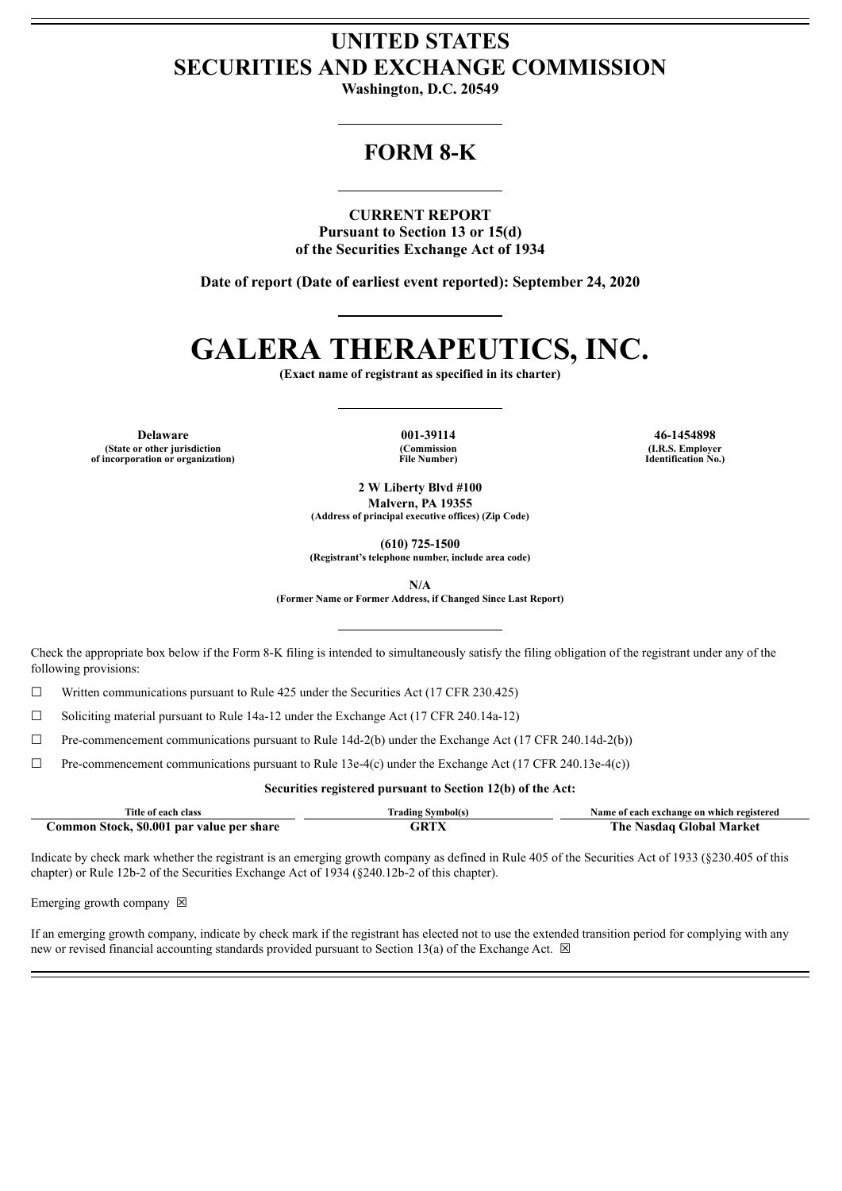# **UNITED STATES SECURITIES AND EXCHANGE COMMISSION**

**Washington, D.C. 20549**

# **FORM 8-K**

**CURRENT REPORT Pursuant to Section 13 or 15(d) of the Securities Exchange Act of 1934**

**Date of report (Date of earliest event reported): September 24, 2020**

# **GALERA THERAPEUTICS, INC.**

**(Exact name of registrant as specified in its charter)**

**Delaware 001-39114 46-1454898 (State or other jurisdiction of incorporation or organization)**

**(Commission File Number)**

**(I.R.S. Employer Identification No.)**

**2 W Liberty Blvd #100 Malvern, PA 19355 (Address of principal executive offices) (Zip Code)**

**(610) 725-1500**

**(Registrant's telephone number, include area code)**

**N/A**

**(Former Name or Former Address, if Changed Since Last Report)**

Check the appropriate box below if the Form 8-K filing is intended to simultaneously satisfy the filing obligation of the registrant under any of the following provisions:

☐ Written communications pursuant to Rule 425 under the Securities Act (17 CFR 230.425)

 $\Box$  Soliciting material pursuant to Rule 14a-12 under the Exchange Act (17 CFR 240.14a-12)

☐ Pre-commencement communications pursuant to Rule 14d-2(b) under the Exchange Act (17 CFR 240.14d-2(b))

 $\Box$  Pre-commencement communications pursuant to Rule 13e-4(c) under the Exchange Act (17 CFR 240.13e-4(c))

#### **Securities registered pursuant to Section 12(b) of the Act:**

| Title of each class                       | <b>Trading Symbol(s)</b> | Name of each exchange on which registered |
|-------------------------------------------|--------------------------|-------------------------------------------|
| Common Stock, \$0.001 par value per share |                          | The Nasdaq Global Market                  |

Indicate by check mark whether the registrant is an emerging growth company as defined in Rule 405 of the Securities Act of 1933 (§230.405 of this chapter) or Rule 12b-2 of the Securities Exchange Act of 1934 (§240.12b-2 of this chapter).

Emerging growth company  $\boxtimes$ 

If an emerging growth company, indicate by check mark if the registrant has elected not to use the extended transition period for complying with any new or revised financial accounting standards provided pursuant to Section 13(a) of the Exchange Act.  $\boxtimes$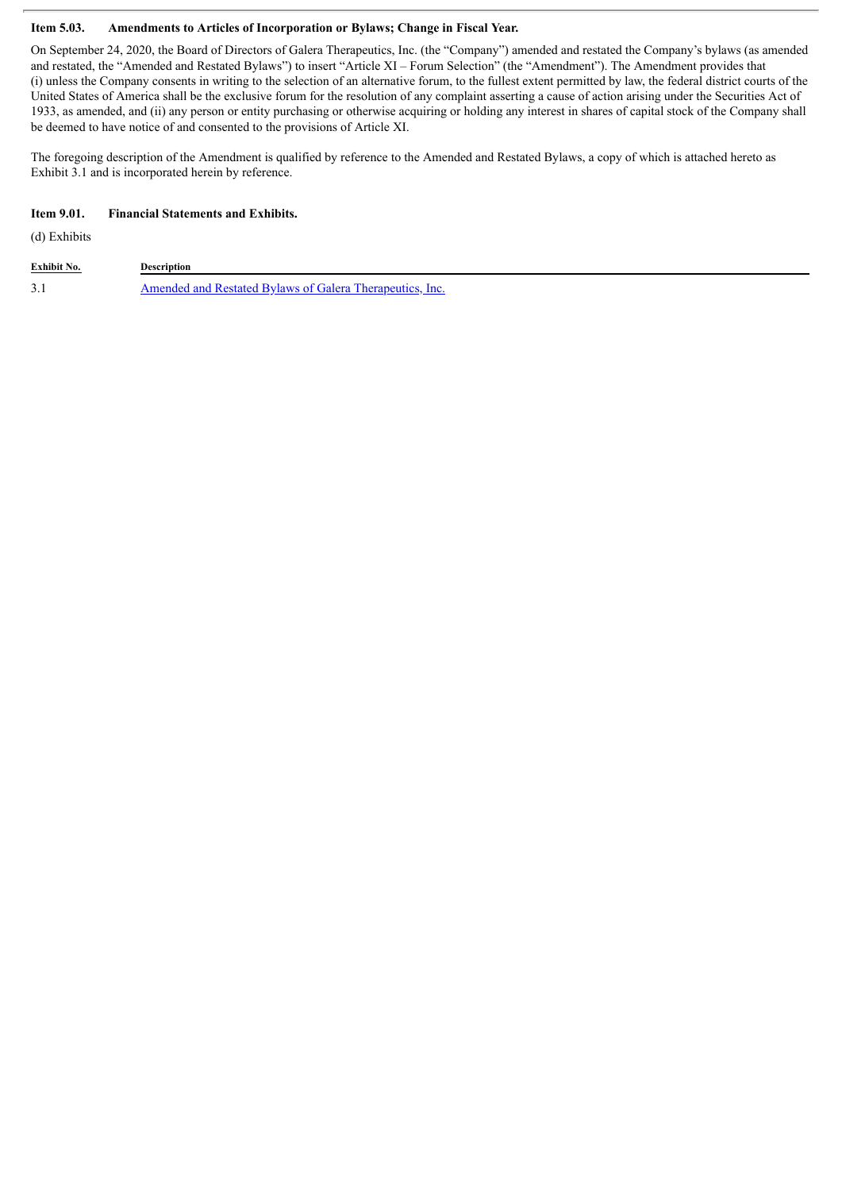#### **Item 5.03. Amendments to Articles of Incorporation or Bylaws; Change in Fiscal Year.**

On September 24, 2020, the Board of Directors of Galera Therapeutics, Inc. (the "Company") amended and restated the Company's bylaws (as amended and restated, the "Amended and Restated Bylaws") to insert "Article XI – Forum Selection" (the "Amendment"). The Amendment provides that (i) unless the Company consents in writing to the selection of an alternative forum, to the fullest extent permitted by law, the federal district courts of the United States of America shall be the exclusive forum for the resolution of any complaint asserting a cause of action arising under the Securities Act of 1933, as amended, and (ii) any person or entity purchasing or otherwise acquiring or holding any interest in shares of capital stock of the Company shall be deemed to have notice of and consented to the provisions of Article XI.

The foregoing description of the Amendment is qualified by reference to the Amended and Restated Bylaws, a copy of which is attached hereto as Exhibit 3.1 and is incorporated herein by reference.

#### **Item 9.01. Financial Statements and Exhibits.**

(d) Exhibits

| Exhibit No.          | Description                                              |
|----------------------|----------------------------------------------------------|
| $\sim$ 1<br><u>.</u> | Amended and Restated Bylaws of Galera Therapeutics, Inc. |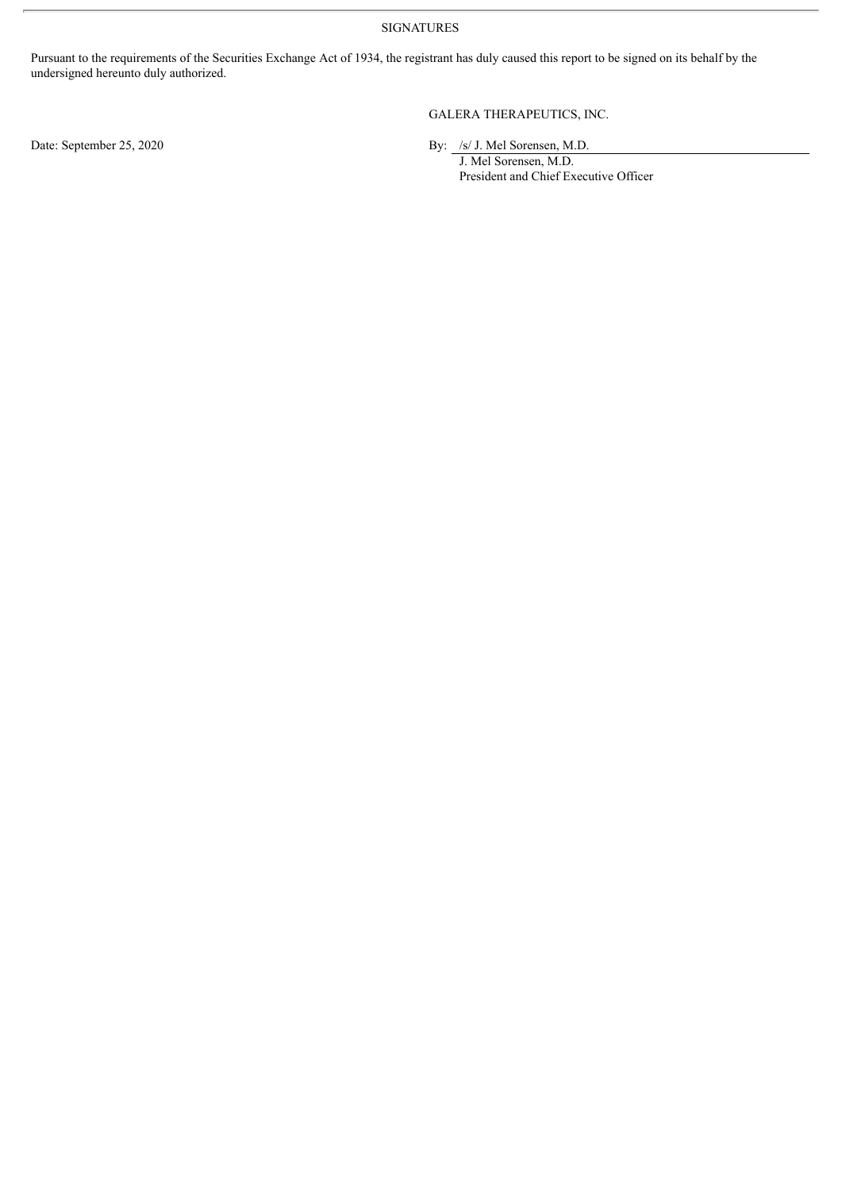SIGNATURES

Pursuant to the requirements of the Securities Exchange Act of 1934, the registrant has duly caused this report to be signed on its behalf by the undersigned hereunto duly authorized.

GALERA THERAPEUTICS, INC.

Date: September 25, 2020 By: /s/ J. Mel Sorensen, M.D.

J. Mel Sorensen, M.D. President and Chief Executive Officer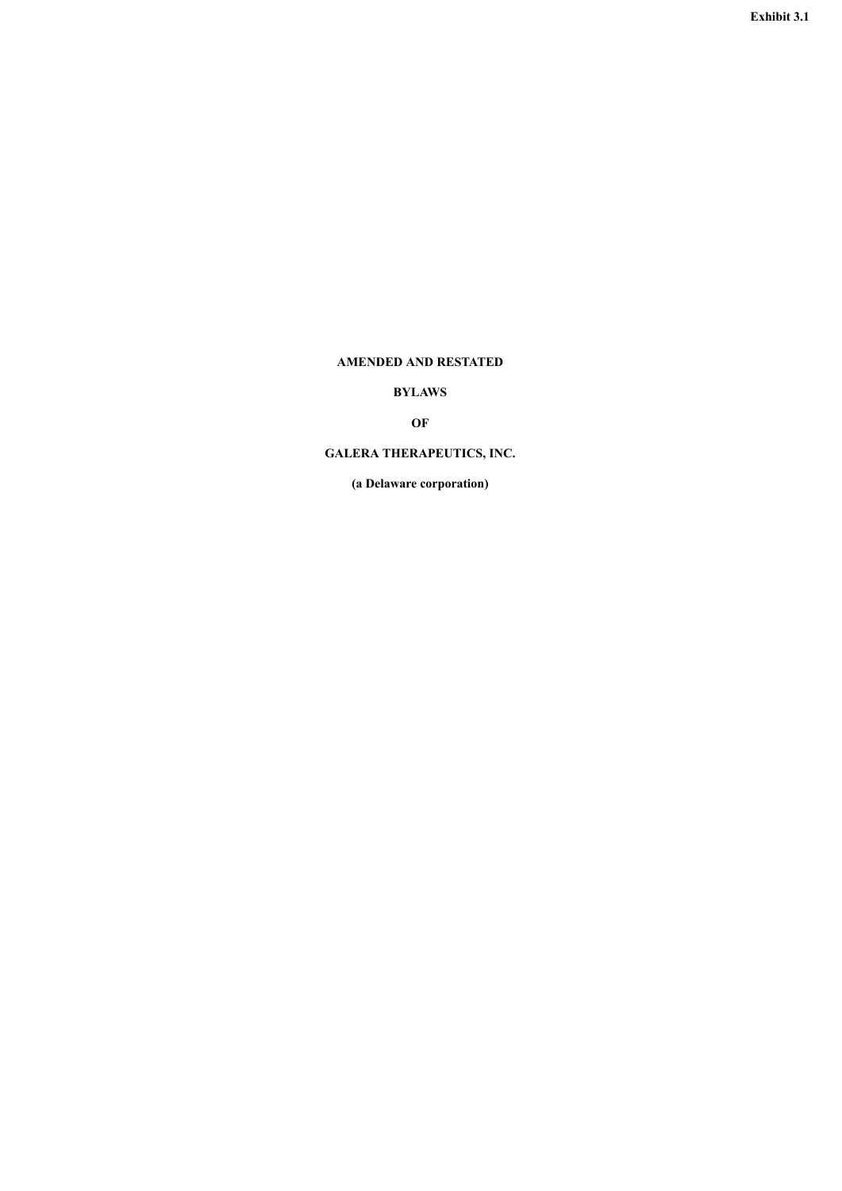# <span id="page-3-0"></span>**AMENDED AND RESTATED**

# **BYLAWS**

# **OF**

# **GALERA THERAPEUTICS, INC.**

**(a Delaware corporation)**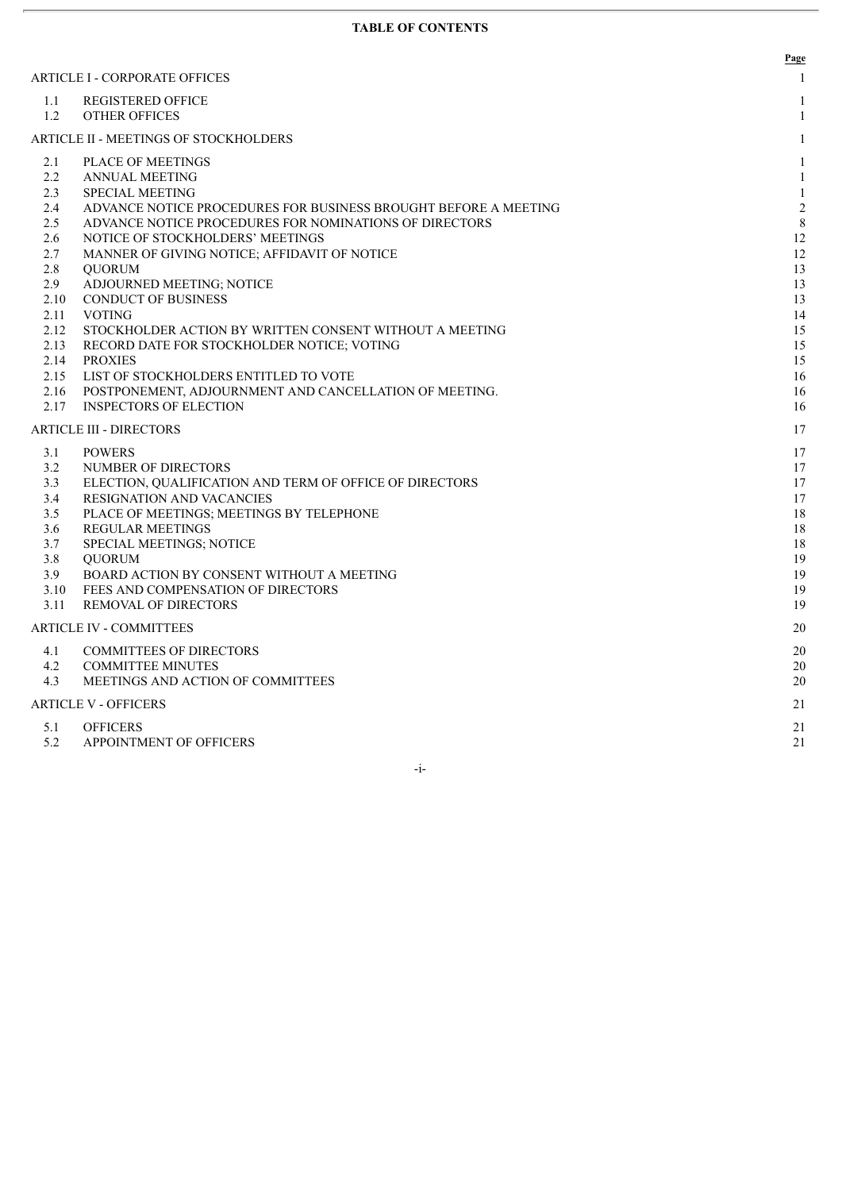|              |                                                                                                       | Page           |
|--------------|-------------------------------------------------------------------------------------------------------|----------------|
|              | ARTICLE I - CORPORATE OFFICES                                                                         | 1              |
| 1.1          | <b>REGISTERED OFFICE</b>                                                                              | 1              |
| 1.2          | <b>OTHER OFFICES</b>                                                                                  | 1              |
|              | ARTICLE II - MEETINGS OF STOCKHOLDERS                                                                 | $\mathbf{1}$   |
| 2.1          | <b>PLACE OF MEETINGS</b>                                                                              | $\mathbf{1}$   |
| 2.2          | <b>ANNUAL MEETING</b>                                                                                 | $\mathbf{1}$   |
| 2.3          | <b>SPECIAL MEETING</b>                                                                                | $\mathbf{1}$   |
| 2.4          | ADVANCE NOTICE PROCEDURES FOR BUSINESS BROUGHT BEFORE A MEETING                                       | $\overline{2}$ |
| 2.5          | ADVANCE NOTICE PROCEDURES FOR NOMINATIONS OF DIRECTORS                                                | 8              |
| 2.6          | NOTICE OF STOCKHOLDERS' MEETINGS                                                                      | 12             |
| 2.7          | MANNER OF GIVING NOTICE; AFFIDAVIT OF NOTICE                                                          | 12             |
| 2.8          | <b>OUORUM</b>                                                                                         | 13             |
| 2.9          | ADJOURNED MEETING; NOTICE                                                                             | 13             |
| 2.10         | <b>CONDUCT OF BUSINESS</b>                                                                            | 13             |
| 2.11         | <b>VOTING</b>                                                                                         | 14             |
| 2.12<br>2.13 | STOCKHOLDER ACTION BY WRITTEN CONSENT WITHOUT A MEETING<br>RECORD DATE FOR STOCKHOLDER NOTICE; VOTING | 15<br>15       |
| 2.14         | <b>PROXIES</b>                                                                                        | 15             |
| 2.15         | LIST OF STOCKHOLDERS ENTITLED TO VOTE                                                                 | 16             |
| 2.16         | POSTPONEMENT, ADJOURNMENT AND CANCELLATION OF MEETING.                                                | 16             |
| 2.17         | <b>INSPECTORS OF ELECTION</b>                                                                         | 16             |
|              | <b>ARTICLE III - DIRECTORS</b>                                                                        | 17             |
| 3.1          | <b>POWERS</b>                                                                                         | 17             |
| 3.2          | NUMBER OF DIRECTORS                                                                                   | 17             |
| 3.3          | ELECTION, QUALIFICATION AND TERM OF OFFICE OF DIRECTORS                                               | 17             |
| 3.4          | <b>RESIGNATION AND VACANCIES</b>                                                                      | 17             |
| 3.5          | PLACE OF MEETINGS; MEETINGS BY TELEPHONE                                                              | 18             |
| 3.6          | <b>REGULAR MEETINGS</b>                                                                               | 18             |
| 3.7          | SPECIAL MEETINGS; NOTICE                                                                              | 18             |
| 3.8          | <b>OUORUM</b>                                                                                         | 19             |
| 3.9          | BOARD ACTION BY CONSENT WITHOUT A MEETING                                                             | 19             |
| 3.10         | FEES AND COMPENSATION OF DIRECTORS                                                                    | 19             |
| 3.11         | <b>REMOVAL OF DIRECTORS</b>                                                                           | 19             |
|              | <b>ARTICLE IV - COMMITTEES</b>                                                                        | 20             |
| 4.1          | <b>COMMITTEES OF DIRECTORS</b>                                                                        | 20             |
| 4.2          | <b>COMMITTEE MINUTES</b>                                                                              | 20             |
| 4.3          | MEETINGS AND ACTION OF COMMITTEES                                                                     | 20             |
|              | ARTICLE V - OFFICERS                                                                                  | 21             |
| 5.1          | <b>OFFICERS</b>                                                                                       | 21             |
| 5.2          | APPOINTMENT OF OFFICERS                                                                               | 21             |

-i-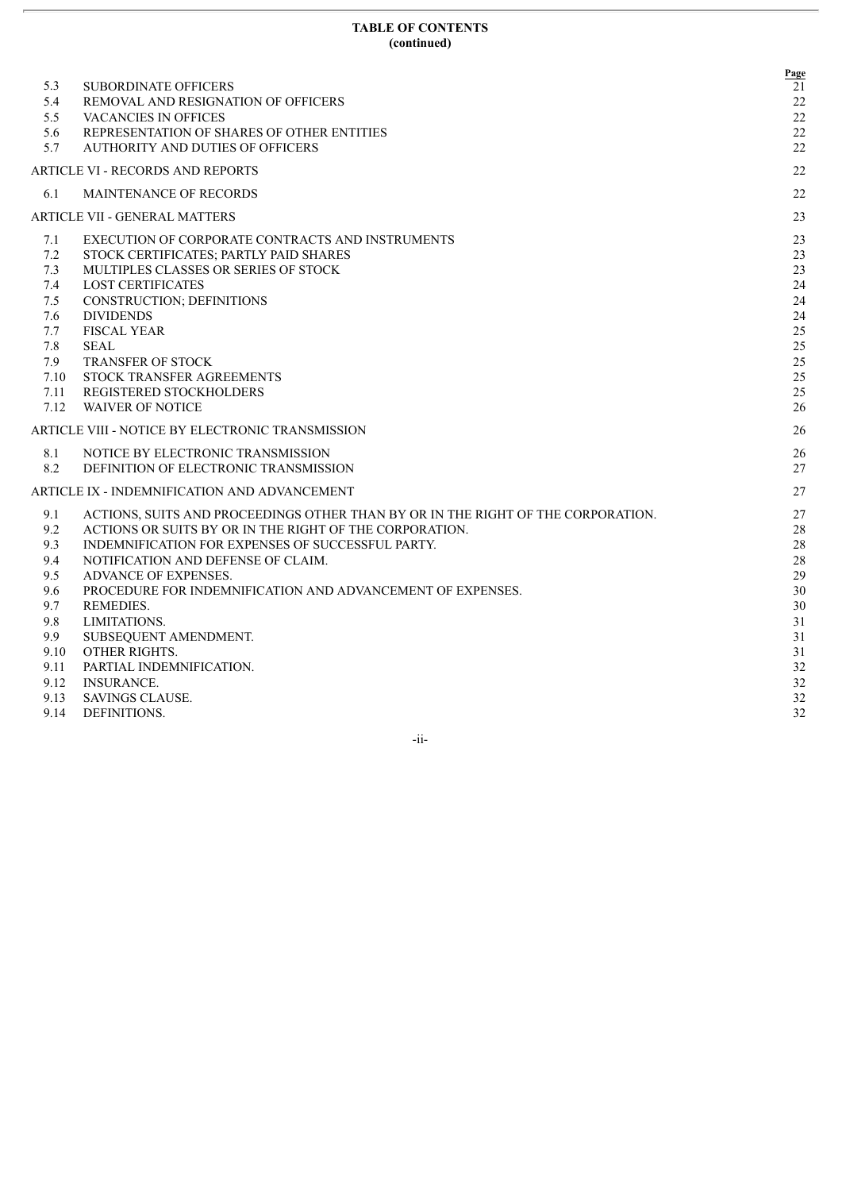#### **TABLE OF CONTENTS (continued)**

| 5.3  | <b>SUBORDINATE OFFICERS</b>                                                      | Page<br>21 |
|------|----------------------------------------------------------------------------------|------------|
| 5.4  | REMOVAL AND RESIGNATION OF OFFICERS                                              | 22         |
| 5.5  | VACANCIES IN OFFICES                                                             | 22         |
| 5.6  | REPRESENTATION OF SHARES OF OTHER ENTITIES                                       | 22         |
| 5.7  | AUTHORITY AND DUTIES OF OFFICERS                                                 | 22         |
|      | ARTICLE VI - RECORDS AND REPORTS                                                 | 22         |
| 6.1  | <b>MAINTENANCE OF RECORDS</b>                                                    | 22         |
|      | ARTICLE VII - GENERAL MATTERS                                                    | 23         |
| 7.1  | EXECUTION OF CORPORATE CONTRACTS AND INSTRUMENTS                                 | 23         |
| 7.2  | STOCK CERTIFICATES; PARTLY PAID SHARES                                           | 23         |
| 7.3  | MULTIPLES CLASSES OR SERIES OF STOCK                                             | 23         |
| 7.4  | <b>LOST CERTIFICATES</b>                                                         | 24         |
| 7.5  | CONSTRUCTION; DEFINITIONS                                                        | 24         |
| 7.6  | <b>DIVIDENDS</b>                                                                 | 24         |
| 7.7  | <b>FISCAL YEAR</b>                                                               | 25         |
| 7.8  | <b>SEAL</b>                                                                      | 25         |
| 7.9  | <b>TRANSFER OF STOCK</b>                                                         | 25         |
| 7.10 | STOCK TRANSFER AGREEMENTS                                                        | 25         |
| 7.11 | <b>REGISTERED STOCKHOLDERS</b>                                                   | 25         |
| 7.12 | <b>WAIVER OF NOTICE</b>                                                          | 26         |
|      | ARTICLE VIII - NOTICE BY ELECTRONIC TRANSMISSION                                 | 26         |
| 8.1  | NOTICE BY ELECTRONIC TRANSMISSION                                                | 26         |
| 8.2  | DEFINITION OF ELECTRONIC TRANSMISSION                                            | 27         |
|      | ARTICLE IX - INDEMNIFICATION AND ADVANCEMENT                                     | 27         |
| 9.1  | ACTIONS, SUITS AND PROCEEDINGS OTHER THAN BY OR IN THE RIGHT OF THE CORPORATION. | 27         |
| 9.2  | ACTIONS OR SUITS BY OR IN THE RIGHT OF THE CORPORATION.                          | 28         |
| 9.3  | INDEMNIFICATION FOR EXPENSES OF SUCCESSFUL PARTY.                                | 28         |
| 9.4  | NOTIFICATION AND DEFENSE OF CLAIM.                                               | $28\,$     |
| 9.5  | ADVANCE OF EXPENSES.                                                             | 29         |
| 9.6  | PROCEDURE FOR INDEMNIFICATION AND ADVANCEMENT OF EXPENSES.                       | 30         |
| 9.7  | REMEDIES.                                                                        | 30         |
| 9.8  | LIMITATIONS.                                                                     | 31         |
| 9.9  | SUBSEQUENT AMENDMENT.                                                            | 31         |
| 9.10 | OTHER RIGHTS.                                                                    | 31         |
| 9.11 | PARTIAL INDEMNIFICATION.                                                         | 32         |
| 9.12 | <b>INSURANCE.</b>                                                                | 32         |
| 9.13 | <b>SAVINGS CLAUSE.</b>                                                           | 32         |
| 9.14 | DEFINITIONS.                                                                     | 32         |

-ii-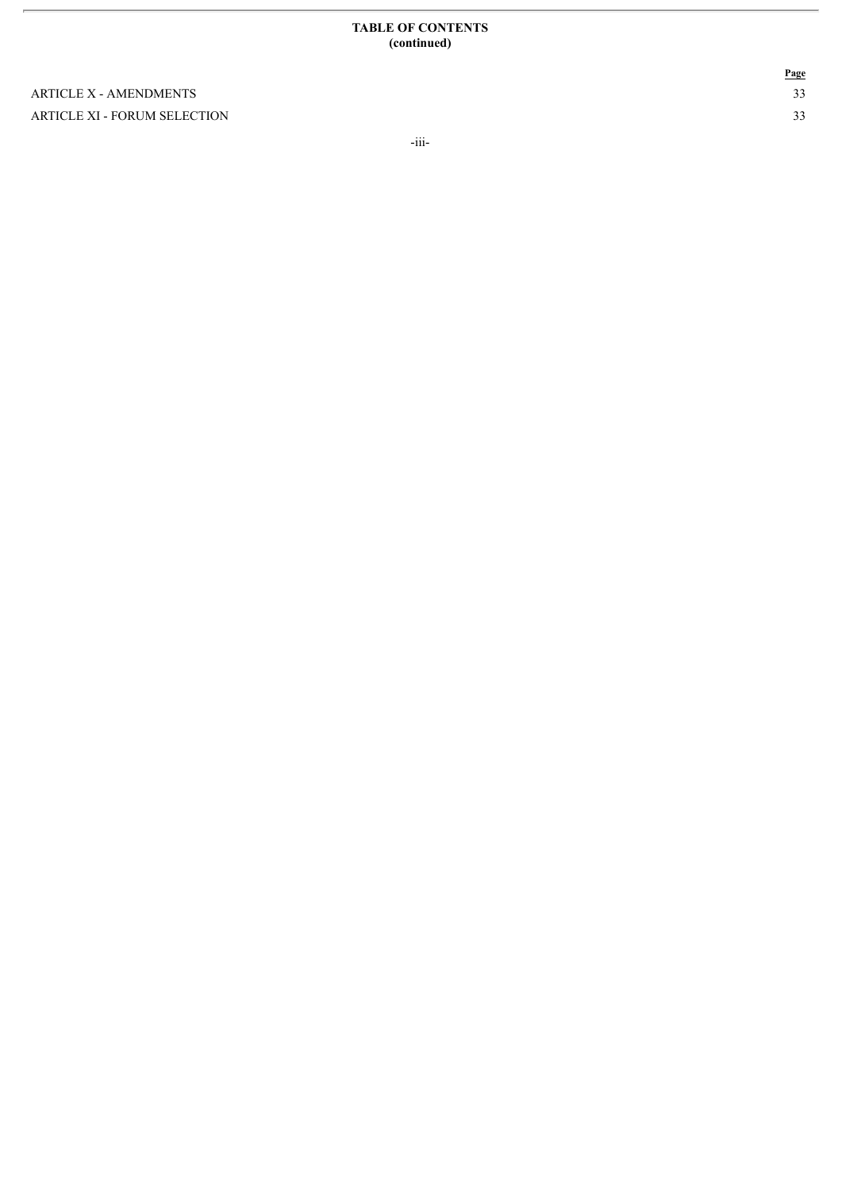#### **TABLE OF CONTENTS** (continued)

ARTICLE X - AMENDMENTS ARTICLE XI - FORUM SELECTION **P a g e** 3 3

-iii-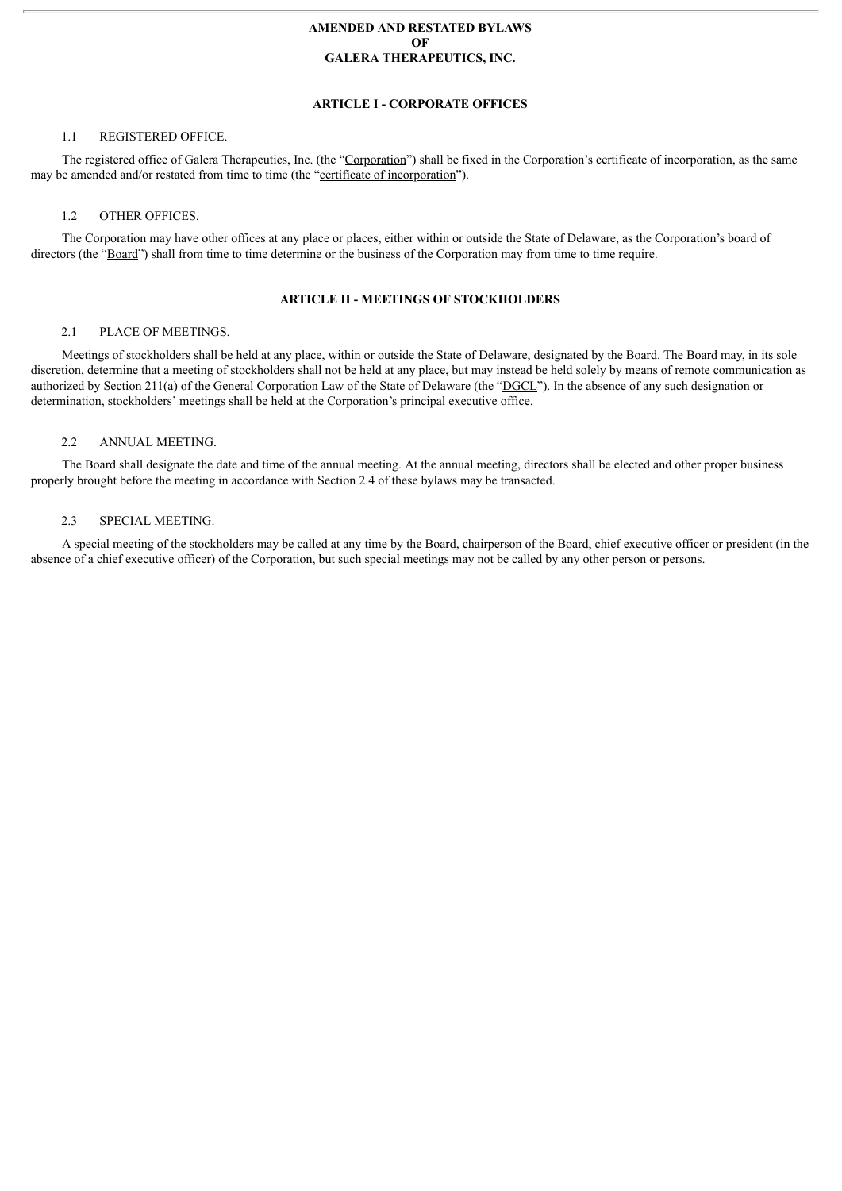# **AMENDED AND RESTATED BYLAWS OF GALERA THERAPEUTICS, INC.**

# **ARTICLE I - CORPORATE OFFICES**

# 1.1 REGISTERED OFFICE.

The registered office of Galera Therapeutics, Inc. (the "Corporation") shall be fixed in the Corporation's certificate of incorporation, as the same may be amended and/or restated from time to time (the "certificate of incorporation").

# 1.2 OTHER OFFICES

The Corporation may have other offices at any place or places, either within or outside the State of Delaware, as the Corporation's board of directors (the "Board") shall from time to time determine or the business of the Corporation may from time to time require.

# **ARTICLE II - MEETINGS OF STOCKHOLDERS**

# 2.1 PLACE OF MEETINGS.

Meetings of stockholders shall be held at any place, within or outside the State of Delaware, designated by the Board. The Board may, in its sole discretion, determine that a meeting of stockholders shall not be held at any place, but may instead be held solely by means of remote communication as authorized by Section 211(a) of the General Corporation Law of the State of Delaware (the "DGCL"). In the absence of any such designation or determination, stockholders' meetings shall be held at the Corporation's principal executive office.

# 2.2 ANNUAL MEETING.

The Board shall designate the date and time of the annual meeting. At the annual meeting, directors shall be elected and other proper business properly brought before the meeting in accordance with Section 2.4 of these bylaws may be transacted.

## 2.3 SPECIAL MEETING.

A special meeting of the stockholders may be called at any time by the Board, chairperson of the Board, chief executive officer or president (in the absence of a chief executive officer) of the Corporation, but such special meetings may not be called by any other person or persons.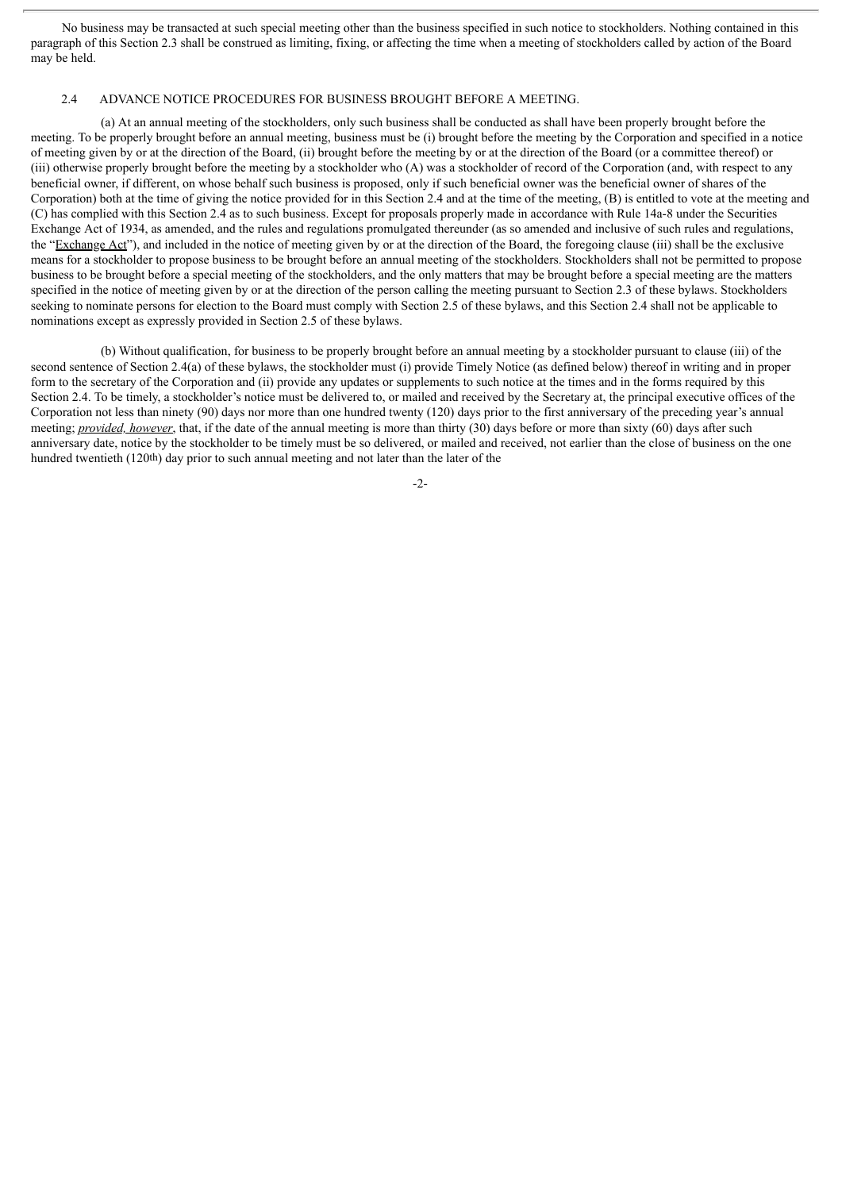No business may be transacted at such special meeting other than the business specified in such notice to stockholders. Nothing contained in this paragraph of this Section 2.3 shall be construed as limiting, fixing, or affecting the time when a meeting of stockholders called by action of the Board may be held.

#### 2.4 ADVANCE NOTICE PROCEDURES FOR BUSINESS BROUGHT BEFORE A MEETING.

(a) At an annual meeting of the stockholders, only such business shall be conducted as shall have been properly brought before the meeting. To be properly brought before an annual meeting, business must be (i) brought before the meeting by the Corporation and specified in a notice of meeting given by or at the direction of the Board, (ii) brought before the meeting by or at the direction of the Board (or a committee thereof) or (iii) otherwise properly brought before the meeting by a stockholder who (A) was a stockholder of record of the Corporation (and, with respect to any beneficial owner, if different, on whose behalf such business is proposed, only if such beneficial owner was the beneficial owner of shares of the Corporation) both at the time of giving the notice provided for in this Section 2.4 and at the time of the meeting, (B) is entitled to vote at the meeting and (C) has complied with this Section 2.4 as to such business. Except for proposals properly made in accordance with Rule 14a-8 under the Securities Exchange Act of 1934, as amended, and the rules and regulations promulgated thereunder (as so amended and inclusive of such rules and regulations, the "Exchange Act"), and included in the notice of meeting given by or at the direction of the Board, the foregoing clause (iii) shall be the exclusive means for a stockholder to propose business to be brought before an annual meeting of the stockholders. Stockholders shall not be permitted to propose business to be brought before a special meeting of the stockholders, and the only matters that may be brought before a special meeting are the matters specified in the notice of meeting given by or at the direction of the person calling the meeting pursuant to Section 2.3 of these bylaws. Stockholders seeking to nominate persons for election to the Board must comply with Section 2.5 of these bylaws, and this Section 2.4 shall not be applicable to nominations except as expressly provided in Section 2.5 of these bylaws.

(b) Without qualification, for business to be properly brought before an annual meeting by a stockholder pursuant to clause (iii) of the second sentence of Section 2.4(a) of these bylaws, the stockholder must (i) provide Timely Notice (as defined below) thereof in writing and in proper form to the secretary of the Corporation and (ii) provide any updates or supplements to such notice at the times and in the forms required by this Section 2.4. To be timely, a stockholder's notice must be delivered to, or mailed and received by the Secretary at, the principal executive offices of the Corporation not less than ninety (90) days nor more than one hundred twenty (120) days prior to the first anniversary of the preceding year's annual meeting; *provided, however*, that, if the date of the annual meeting is more than thirty (30) days before or more than sixty (60) days after such anniversary date, notice by the stockholder to be timely must be so delivered, or mailed and received, not earlier than the close of business on the one hundred twentieth (120th) day prior to such annual meeting and not later than the later of the

-2-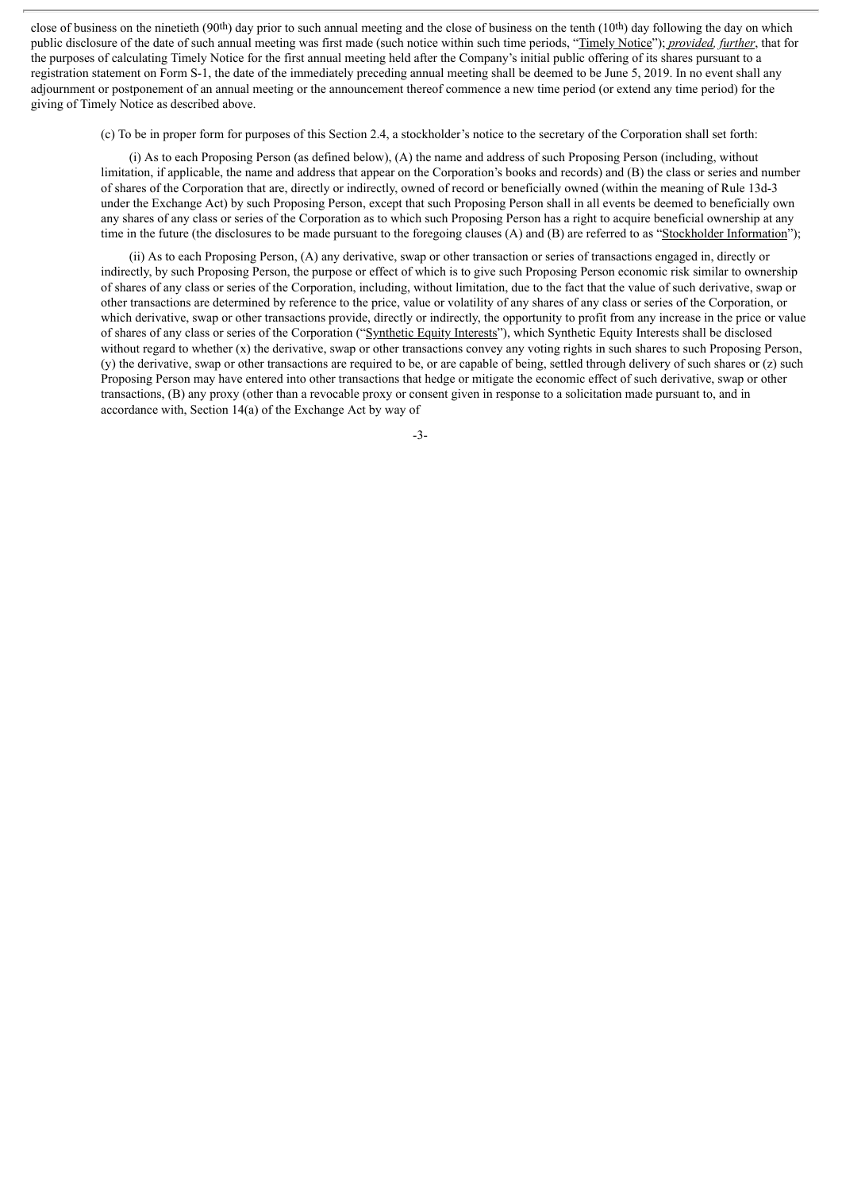close of business on the ninetieth (90<sup>th</sup>) day prior to such annual meeting and the close of business on the tenth  $(10<sup>th</sup>)$  day following the day on which public disclosure of the date of such annual meeting was first made (such notice within such time periods, "Timely Notice"); *provided, further*, that for the purposes of calculating Timely Notice for the first annual meeting held after the Company's initial public offering of its shares pursuant to a registration statement on Form S-1, the date of the immediately preceding annual meeting shall be deemed to be June 5, 2019. In no event shall any adjournment or postponement of an annual meeting or the announcement thereof commence a new time period (or extend any time period) for the giving of Timely Notice as described above.

(c) To be in proper form for purposes of this Section 2.4, a stockholder's notice to the secretary of the Corporation shall set forth:

(i) As to each Proposing Person (as defined below), (A) the name and address of such Proposing Person (including, without limitation, if applicable, the name and address that appear on the Corporation's books and records) and (B) the class or series and number of shares of the Corporation that are, directly or indirectly, owned of record or beneficially owned (within the meaning of Rule 13d-3 under the Exchange Act) by such Proposing Person, except that such Proposing Person shall in all events be deemed to beneficially own any shares of any class or series of the Corporation as to which such Proposing Person has a right to acquire beneficial ownership at any time in the future (the disclosures to be made pursuant to the foregoing clauses (A) and (B) are referred to as "Stockholder Information");

(ii) As to each Proposing Person, (A) any derivative, swap or other transaction or series of transactions engaged in, directly or indirectly, by such Proposing Person, the purpose or effect of which is to give such Proposing Person economic risk similar to ownership of shares of any class or series of the Corporation, including, without limitation, due to the fact that the value of such derivative, swap or other transactions are determined by reference to the price, value or volatility of any shares of any class or series of the Corporation, or which derivative, swap or other transactions provide, directly or indirectly, the opportunity to profit from any increase in the price or value of shares of any class or series of the Corporation ("Synthetic Equity Interests"), which Synthetic Equity Interests shall be disclosed without regard to whether (x) the derivative, swap or other transactions convey any voting rights in such shares to such Proposing Person, (y) the derivative, swap or other transactions are required to be, or are capable of being, settled through delivery of such shares or (z) such Proposing Person may have entered into other transactions that hedge or mitigate the economic effect of such derivative, swap or other transactions, (B) any proxy (other than a revocable proxy or consent given in response to a solicitation made pursuant to, and in accordance with, Section 14(a) of the Exchange Act by way of

 $-3$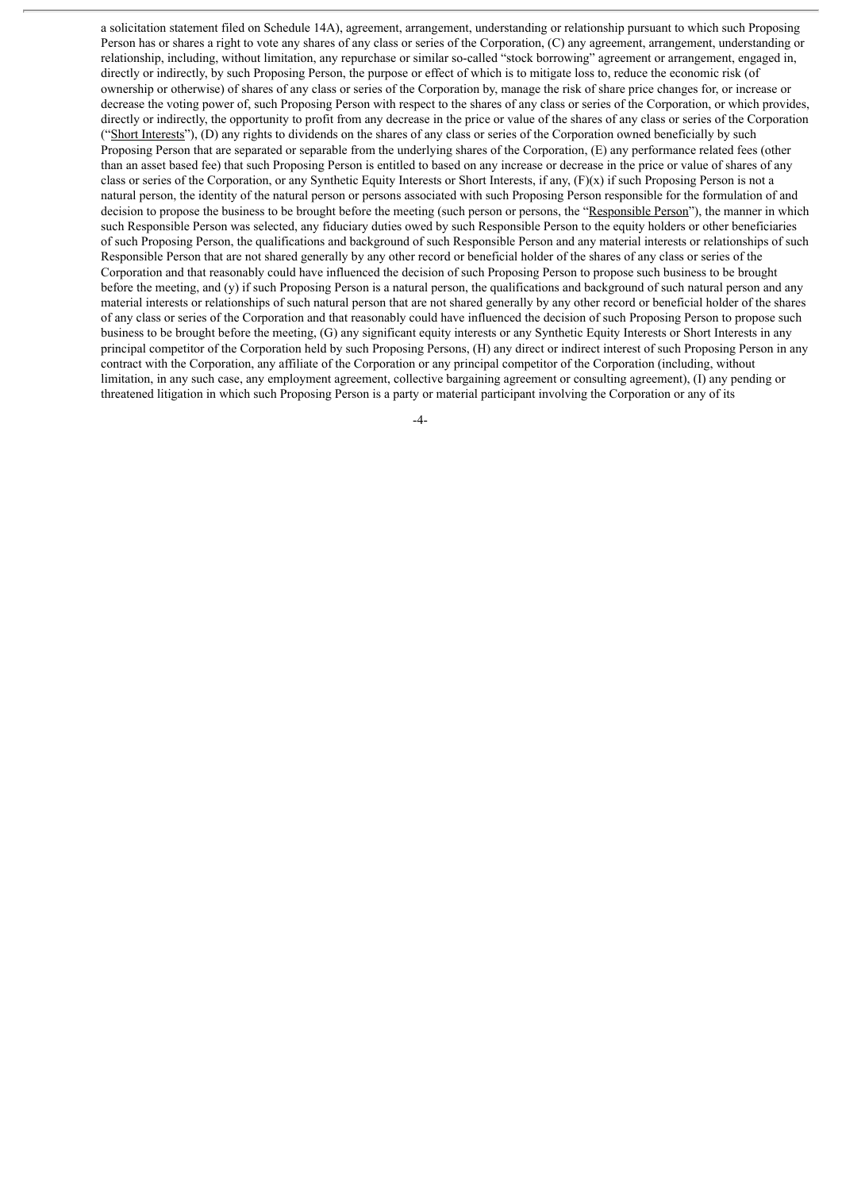a solicitation statement filed on Schedule 14A), agreement, arrangement, understanding or relationship pursuant to which such Proposing Person has or shares a right to vote any shares of any class or series of the Corporation, (C) any agreement, arrangement, understanding or relationship, including, without limitation, any repurchase or similar so-called "stock borrowing" agreement or arrangement, engaged in, directly or indirectly, by such Proposing Person, the purpose or effect of which is to mitigate loss to, reduce the economic risk (of ownership or otherwise) of shares of any class or series of the Corporation by, manage the risk of share price changes for, or increase or decrease the voting power of, such Proposing Person with respect to the shares of any class or series of the Corporation, or which provides, directly or indirectly, the opportunity to profit from any decrease in the price or value of the shares of any class or series of the Corporation ("Short Interests"), (D) any rights to dividends on the shares of any class or series of the Corporation owned beneficially by such Proposing Person that are separated or separable from the underlying shares of the Corporation, (E) any performance related fees (other than an asset based fee) that such Proposing Person is entitled to based on any increase or decrease in the price or value of shares of any class or series of the Corporation, or any Synthetic Equity Interests or Short Interests, if any, (F)(x) if such Proposing Person is not a natural person, the identity of the natural person or persons associated with such Proposing Person responsible for the formulation of and decision to propose the business to be brought before the meeting (such person or persons, the "Responsible Person"), the manner in which such Responsible Person was selected, any fiduciary duties owed by such Responsible Person to the equity holders or other beneficiaries of such Proposing Person, the qualifications and background of such Responsible Person and any material interests or relationships of such Responsible Person that are not shared generally by any other record or beneficial holder of the shares of any class or series of the Corporation and that reasonably could have influenced the decision of such Proposing Person to propose such business to be brought before the meeting, and (y) if such Proposing Person is a natural person, the qualifications and background of such natural person and any material interests or relationships of such natural person that are not shared generally by any other record or beneficial holder of the shares of any class or series of the Corporation and that reasonably could have influenced the decision of such Proposing Person to propose such business to be brought before the meeting, (G) any significant equity interests or any Synthetic Equity Interests or Short Interests in any principal competitor of the Corporation held by such Proposing Persons, (H) any direct or indirect interest of such Proposing Person in any contract with the Corporation, any affiliate of the Corporation or any principal competitor of the Corporation (including, without limitation, in any such case, any employment agreement, collective bargaining agreement or consulting agreement), (I) any pending or threatened litigation in which such Proposing Person is a party or material participant involving the Corporation or any of its

-4-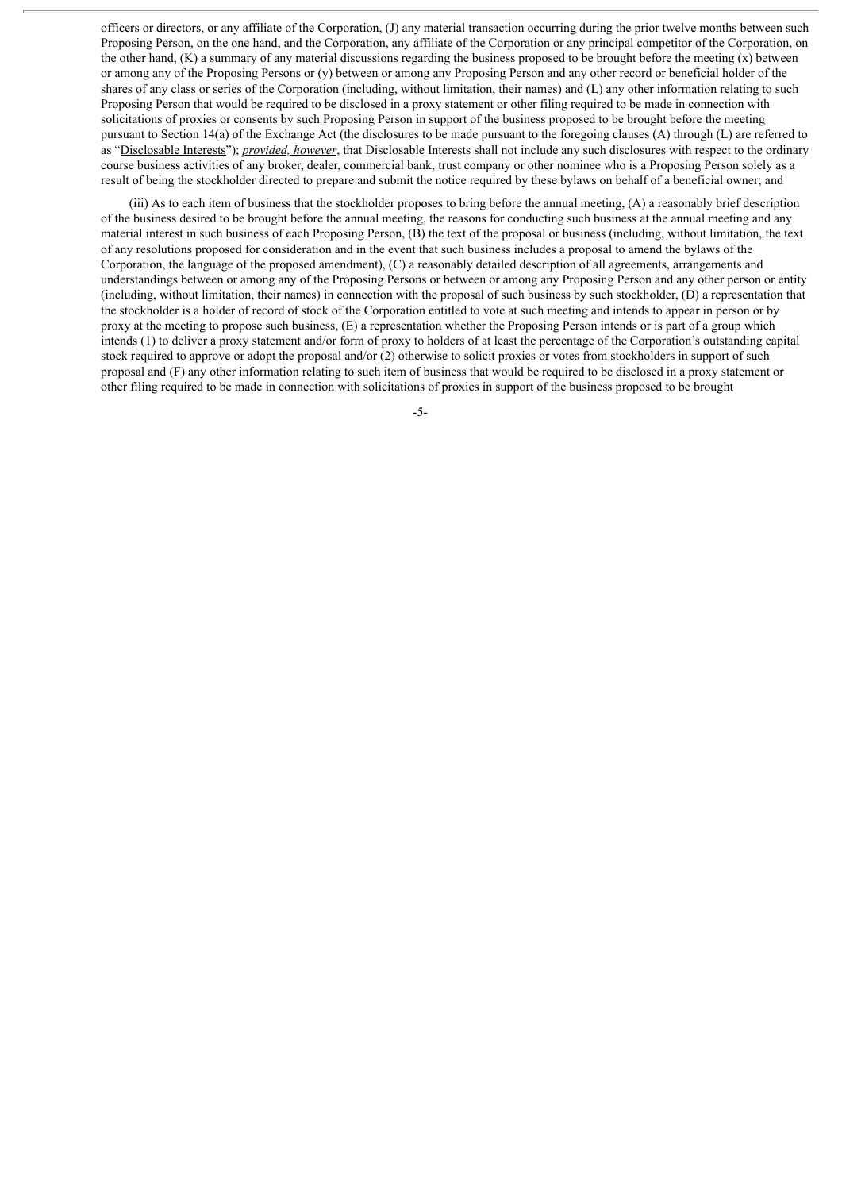officers or directors, or any affiliate of the Corporation, (J) any material transaction occurring during the prior twelve months between such Proposing Person, on the one hand, and the Corporation, any affiliate of the Corporation or any principal competitor of the Corporation, on the other hand,  $(K)$  a summary of any material discussions regarding the business proposed to be brought before the meeting  $(x)$  between or among any of the Proposing Persons or (y) between or among any Proposing Person and any other record or beneficial holder of the shares of any class or series of the Corporation (including, without limitation, their names) and (L) any other information relating to such Proposing Person that would be required to be disclosed in a proxy statement or other filing required to be made in connection with solicitations of proxies or consents by such Proposing Person in support of the business proposed to be brought before the meeting pursuant to Section 14(a) of the Exchange Act (the disclosures to be made pursuant to the foregoing clauses (A) through (L) are referred to as "Disclosable Interests"); *provided, however*, that Disclosable Interests shall not include any such disclosures with respect to the ordinary course business activities of any broker, dealer, commercial bank, trust company or other nominee who is a Proposing Person solely as a result of being the stockholder directed to prepare and submit the notice required by these bylaws on behalf of a beneficial owner; and

(iii) As to each item of business that the stockholder proposes to bring before the annual meeting, (A) a reasonably brief description of the business desired to be brought before the annual meeting, the reasons for conducting such business at the annual meeting and any material interest in such business of each Proposing Person, (B) the text of the proposal or business (including, without limitation, the text of any resolutions proposed for consideration and in the event that such business includes a proposal to amend the bylaws of the Corporation, the language of the proposed amendment), (C) a reasonably detailed description of all agreements, arrangements and understandings between or among any of the Proposing Persons or between or among any Proposing Person and any other person or entity (including, without limitation, their names) in connection with the proposal of such business by such stockholder, (D) a representation that the stockholder is a holder of record of stock of the Corporation entitled to vote at such meeting and intends to appear in person or by proxy at the meeting to propose such business, (E) a representation whether the Proposing Person intends or is part of a group which intends (1) to deliver a proxy statement and/or form of proxy to holders of at least the percentage of the Corporation's outstanding capital stock required to approve or adopt the proposal and/or (2) otherwise to solicit proxies or votes from stockholders in support of such proposal and (F) any other information relating to such item of business that would be required to be disclosed in a proxy statement or other filing required to be made in connection with solicitations of proxies in support of the business proposed to be brought

-5-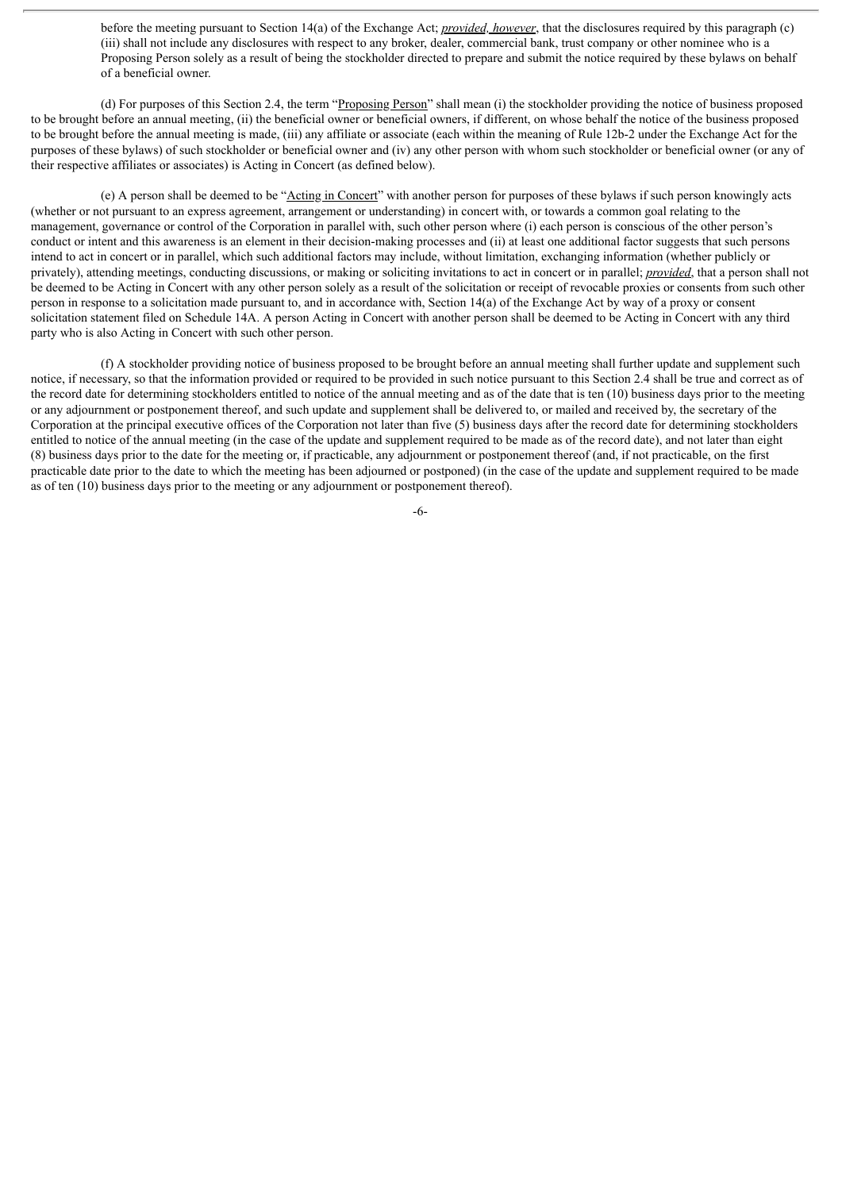before the meeting pursuant to Section 14(a) of the Exchange Act; *provided, however*, that the disclosures required by this paragraph (c) (iii) shall not include any disclosures with respect to any broker, dealer, commercial bank, trust company or other nominee who is a Proposing Person solely as a result of being the stockholder directed to prepare and submit the notice required by these bylaws on behalf of a beneficial owner.

(d) For purposes of this Section 2.4, the term "Proposing Person" shall mean (i) the stockholder providing the notice of business proposed to be brought before an annual meeting, (ii) the beneficial owner or beneficial owners, if different, on whose behalf the notice of the business proposed to be brought before the annual meeting is made, (iii) any affiliate or associate (each within the meaning of Rule 12b-2 under the Exchange Act for the purposes of these bylaws) of such stockholder or beneficial owner and (iv) any other person with whom such stockholder or beneficial owner (or any of their respective affiliates or associates) is Acting in Concert (as defined below).

(e) A person shall be deemed to be "Acting in Concert" with another person for purposes of these bylaws if such person knowingly acts (whether or not pursuant to an express agreement, arrangement or understanding) in concert with, or towards a common goal relating to the management, governance or control of the Corporation in parallel with, such other person where (i) each person is conscious of the other person's conduct or intent and this awareness is an element in their decision-making processes and (ii) at least one additional factor suggests that such persons intend to act in concert or in parallel, which such additional factors may include, without limitation, exchanging information (whether publicly or privately), attending meetings, conducting discussions, or making or soliciting invitations to act in concert or in parallel; *provided*, that a person shall not be deemed to be Acting in Concert with any other person solely as a result of the solicitation or receipt of revocable proxies or consents from such other person in response to a solicitation made pursuant to, and in accordance with, Section 14(a) of the Exchange Act by way of a proxy or consent solicitation statement filed on Schedule 14A. A person Acting in Concert with another person shall be deemed to be Acting in Concert with any third party who is also Acting in Concert with such other person.

(f) A stockholder providing notice of business proposed to be brought before an annual meeting shall further update and supplement such notice, if necessary, so that the information provided or required to be provided in such notice pursuant to this Section 2.4 shall be true and correct as of the record date for determining stockholders entitled to notice of the annual meeting and as of the date that is ten (10) business days prior to the meeting or any adjournment or postponement thereof, and such update and supplement shall be delivered to, or mailed and received by, the secretary of the Corporation at the principal executive offices of the Corporation not later than five (5) business days after the record date for determining stockholders entitled to notice of the annual meeting (in the case of the update and supplement required to be made as of the record date), and not later than eight (8) business days prior to the date for the meeting or, if practicable, any adjournment or postponement thereof (and, if not practicable, on the first practicable date prior to the date to which the meeting has been adjourned or postponed) (in the case of the update and supplement required to be made as of ten (10) business days prior to the meeting or any adjournment or postponement thereof).

-6-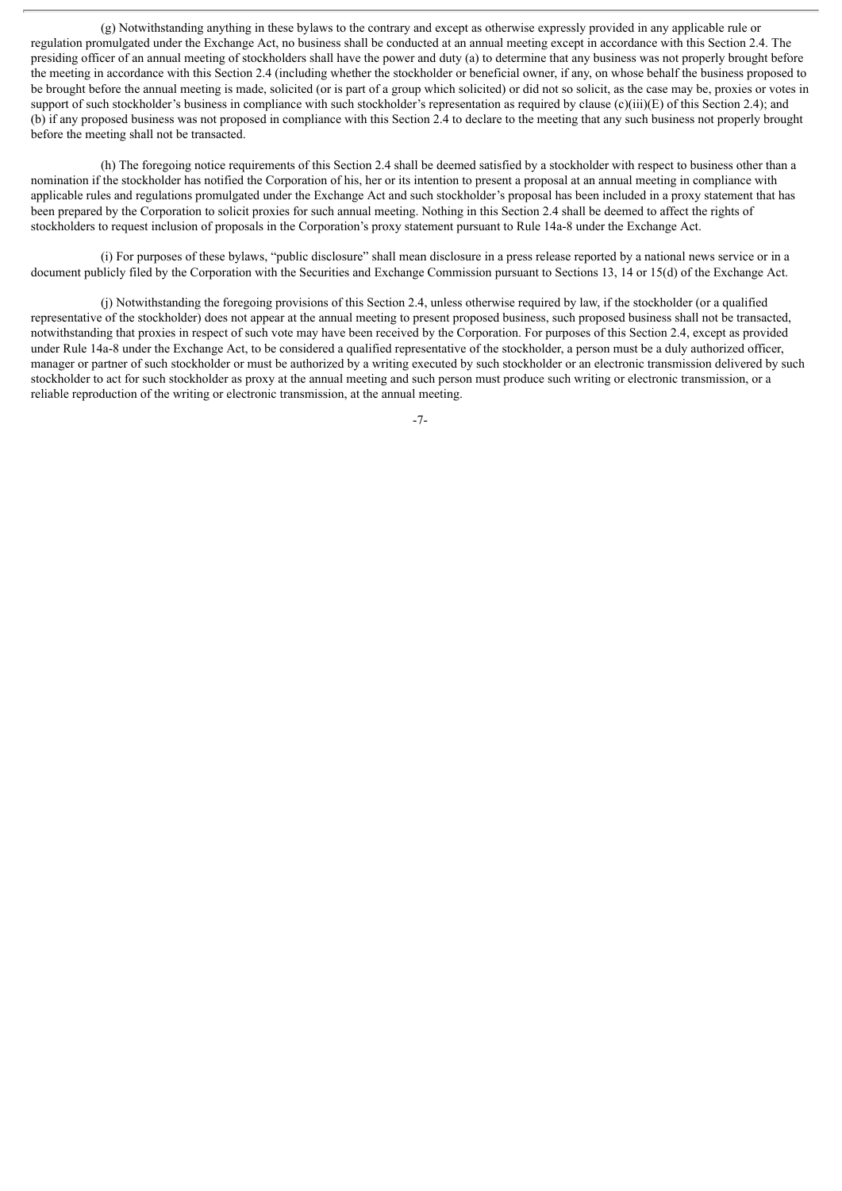(g) Notwithstanding anything in these bylaws to the contrary and except as otherwise expressly provided in any applicable rule or regulation promulgated under the Exchange Act, no business shall be conducted at an annual meeting except in accordance with this Section 2.4. The presiding officer of an annual meeting of stockholders shall have the power and duty (a) to determine that any business was not properly brought before the meeting in accordance with this Section 2.4 (including whether the stockholder or beneficial owner, if any, on whose behalf the business proposed to be brought before the annual meeting is made, solicited (or is part of a group which solicited) or did not so solicit, as the case may be, proxies or votes in support of such stockholder's business in compliance with such stockholder's representation as required by clause (c)(iii)(E) of this Section 2.4); and (b) if any proposed business was not proposed in compliance with this Section 2.4 to declare to the meeting that any such business not properly brought before the meeting shall not be transacted.

(h) The foregoing notice requirements of this Section 2.4 shall be deemed satisfied by a stockholder with respect to business other than a nomination if the stockholder has notified the Corporation of his, her or its intention to present a proposal at an annual meeting in compliance with applicable rules and regulations promulgated under the Exchange Act and such stockholder's proposal has been included in a proxy statement that has been prepared by the Corporation to solicit proxies for such annual meeting. Nothing in this Section 2.4 shall be deemed to affect the rights of stockholders to request inclusion of proposals in the Corporation's proxy statement pursuant to Rule 14a-8 under the Exchange Act.

(i) For purposes of these bylaws, "public disclosure" shall mean disclosure in a press release reported by a national news service or in a document publicly filed by the Corporation with the Securities and Exchange Commission pursuant to Sections 13, 14 or 15(d) of the Exchange Act.

(j) Notwithstanding the foregoing provisions of this Section 2.4, unless otherwise required by law, if the stockholder (or a qualified representative of the stockholder) does not appear at the annual meeting to present proposed business, such proposed business shall not be transacted, notwithstanding that proxies in respect of such vote may have been received by the Corporation. For purposes of this Section 2.4, except as provided under Rule 14a-8 under the Exchange Act, to be considered a qualified representative of the stockholder, a person must be a duly authorized officer, manager or partner of such stockholder or must be authorized by a writing executed by such stockholder or an electronic transmission delivered by such stockholder to act for such stockholder as proxy at the annual meeting and such person must produce such writing or electronic transmission, or a reliable reproduction of the writing or electronic transmission, at the annual meeting.

-7-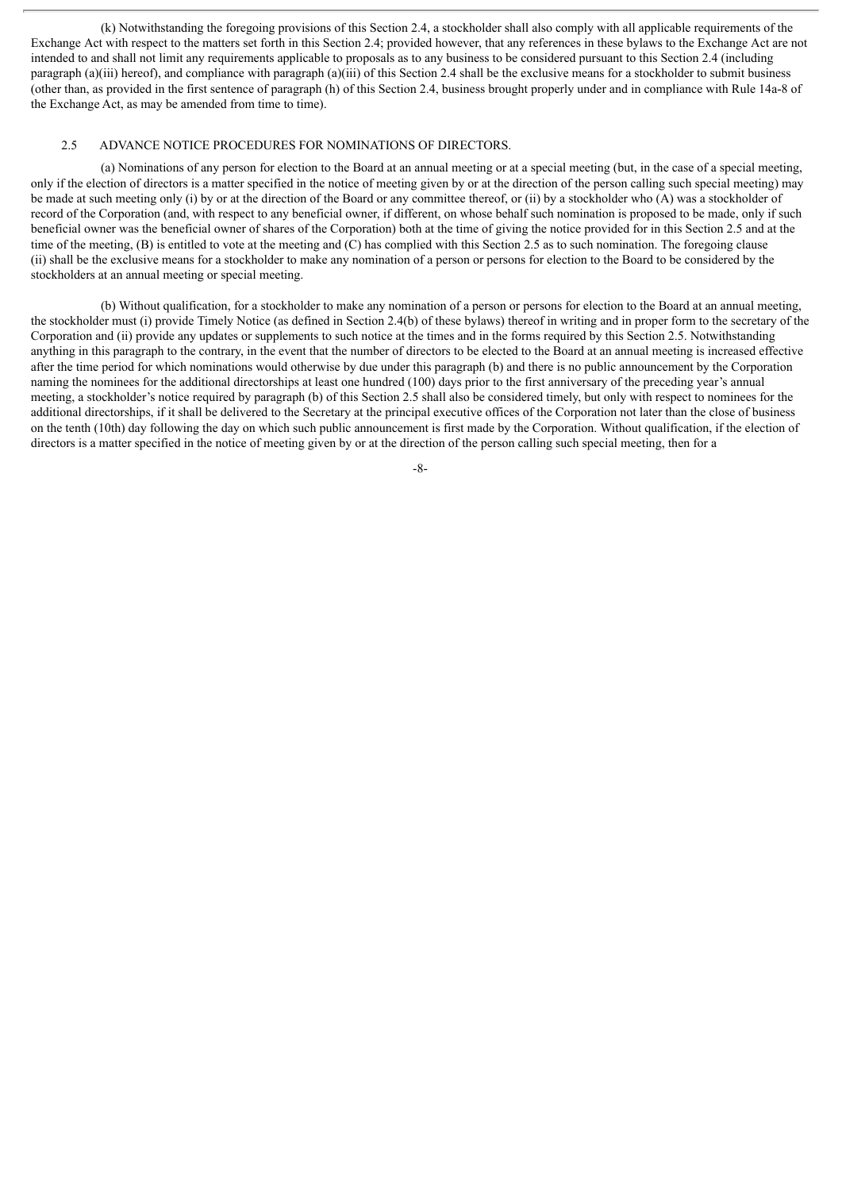(k) Notwithstanding the foregoing provisions of this Section 2.4, a stockholder shall also comply with all applicable requirements of the Exchange Act with respect to the matters set forth in this Section 2.4; provided however, that any references in these bylaws to the Exchange Act are not intended to and shall not limit any requirements applicable to proposals as to any business to be considered pursuant to this Section 2.4 (including paragraph (a)(iii) hereof), and compliance with paragraph (a)(iii) of this Section 2.4 shall be the exclusive means for a stockholder to submit business (other than, as provided in the first sentence of paragraph (h) of this Section 2.4, business brought properly under and in compliance with Rule 14a-8 of the Exchange Act, as may be amended from time to time).

# 2.5 ADVANCE NOTICE PROCEDURES FOR NOMINATIONS OF DIRECTORS.

(a) Nominations of any person for election to the Board at an annual meeting or at a special meeting (but, in the case of a special meeting, only if the election of directors is a matter specified in the notice of meeting given by or at the direction of the person calling such special meeting) may be made at such meeting only (i) by or at the direction of the Board or any committee thereof, or (ii) by a stockholder who (A) was a stockholder of record of the Corporation (and, with respect to any beneficial owner, if different, on whose behalf such nomination is proposed to be made, only if such beneficial owner was the beneficial owner of shares of the Corporation) both at the time of giving the notice provided for in this Section 2.5 and at the time of the meeting, (B) is entitled to vote at the meeting and (C) has complied with this Section 2.5 as to such nomination. The foregoing clause (ii) shall be the exclusive means for a stockholder to make any nomination of a person or persons for election to the Board to be considered by the stockholders at an annual meeting or special meeting.

(b) Without qualification, for a stockholder to make any nomination of a person or persons for election to the Board at an annual meeting, the stockholder must (i) provide Timely Notice (as defined in Section 2.4(b) of these bylaws) thereof in writing and in proper form to the secretary of the Corporation and (ii) provide any updates or supplements to such notice at the times and in the forms required by this Section 2.5. Notwithstanding anything in this paragraph to the contrary, in the event that the number of directors to be elected to the Board at an annual meeting is increased effective after the time period for which nominations would otherwise by due under this paragraph (b) and there is no public announcement by the Corporation naming the nominees for the additional directorships at least one hundred (100) days prior to the first anniversary of the preceding year's annual meeting, a stockholder's notice required by paragraph (b) of this Section 2.5 shall also be considered timely, but only with respect to nominees for the additional directorships, if it shall be delivered to the Secretary at the principal executive offices of the Corporation not later than the close of business on the tenth (10th) day following the day on which such public announcement is first made by the Corporation. Without qualification, if the election of directors is a matter specified in the notice of meeting given by or at the direction of the person calling such special meeting, then for a

-8-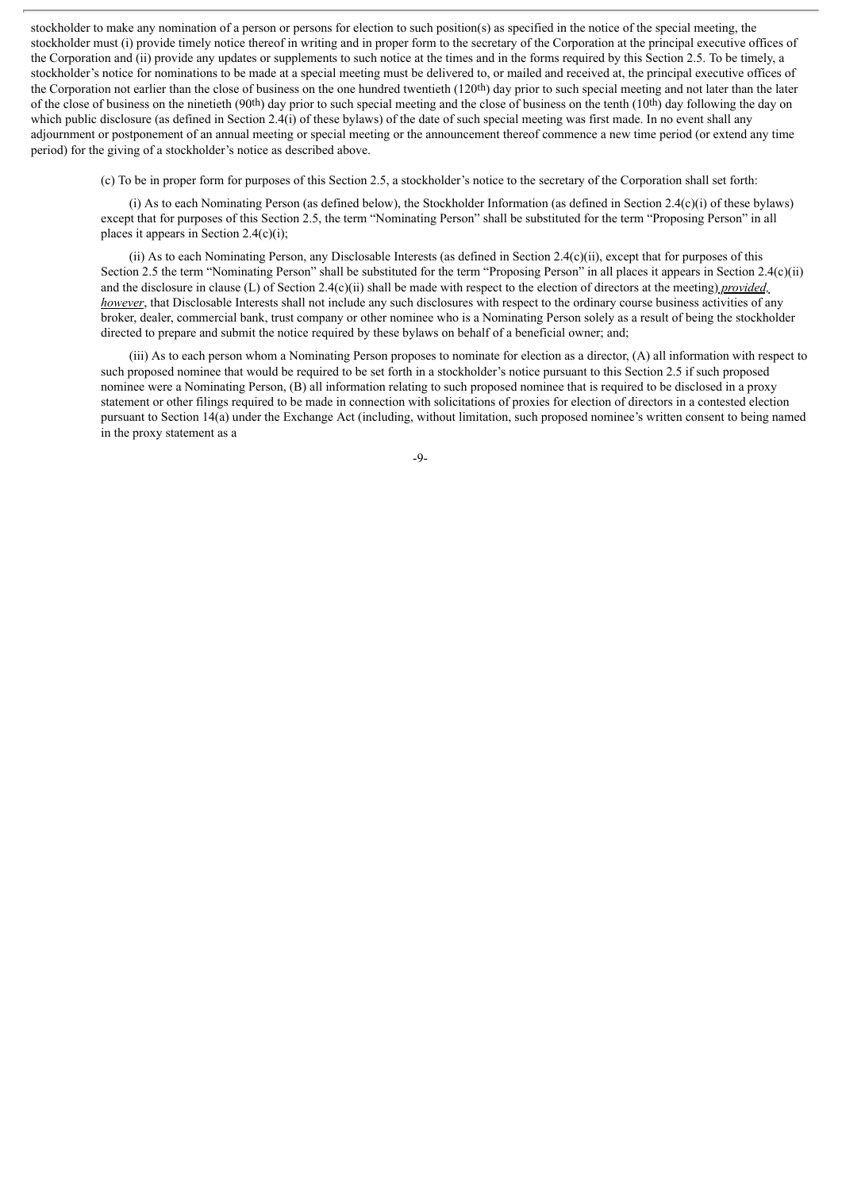stockholder to make any nomination of a person or persons for election to such position(s) as specified in the notice of the special meeting, the stockholder must (i) provide timely notice thereof in writing and in proper form to the secretary of the Corporation at the principal executive offices of the Corporation and (ii) provide any updates or supplements to such notice at the times and in the forms required by this Section 2.5. To be timely, a stockholder's notice for nominations to be made at a special meeting must be delivered to, or mailed and received at, the principal executive offices of the Corporation not earlier than the close of business on the one hundred twentieth (120th) day prior to such special meeting and not later than the later of the close of business on the ninetieth (90th) day prior to such special meeting and the close of business on the tenth (10th) day following the day on which public disclosure (as defined in Section 2.4(i) of these bylaws) of the date of such special meeting was first made. In no event shall any adjournment or postponement of an annual meeting or special meeting or the announcement thereof commence a new time period (or extend any time period) for the giving of a stockholder's notice as described above.

(c) To be in proper form for purposes of this Section 2.5, a stockholder's notice to the secretary of the Corporation shall set forth:

(i) As to each Nominating Person (as defined below), the Stockholder Information (as defined in Section 2.4(c)(i) of these bylaws) except that for purposes of this Section 2.5, the term "Nominating Person" shall be substituted for the term "Proposing Person" in all places it appears in Section 2.4(c)(i);

(ii) As to each Nominating Person, any Disclosable Interests (as defined in Section 2.4(c)(ii), except that for purposes of this Section 2.5 the term "Nominating Person" shall be substituted for the term "Proposing Person" in all places it appears in Section 2.4(c)(ii) and the disclosure in clause (L) of Section 2.4(c)(ii) shall be made with respect to the election of directors at the meeting) *provided, however*, that Disclosable Interests shall not include any such disclosures with respect to the ordinary course business activities of any broker, dealer, commercial bank, trust company or other nominee who is a Nominating Person solely as a result of being the stockholder directed to prepare and submit the notice required by these bylaws on behalf of a beneficial owner; and;

(iii) As to each person whom a Nominating Person proposes to nominate for election as a director, (A) all information with respect to such proposed nominee that would be required to be set forth in a stockholder's notice pursuant to this Section 2.5 if such proposed nominee were a Nominating Person, (B) all information relating to such proposed nominee that is required to be disclosed in a proxy statement or other filings required to be made in connection with solicitations of proxies for election of directors in a contested election pursuant to Section 14(a) under the Exchange Act (including, without limitation, such proposed nominee's written consent to being named in the proxy statement as a

-9-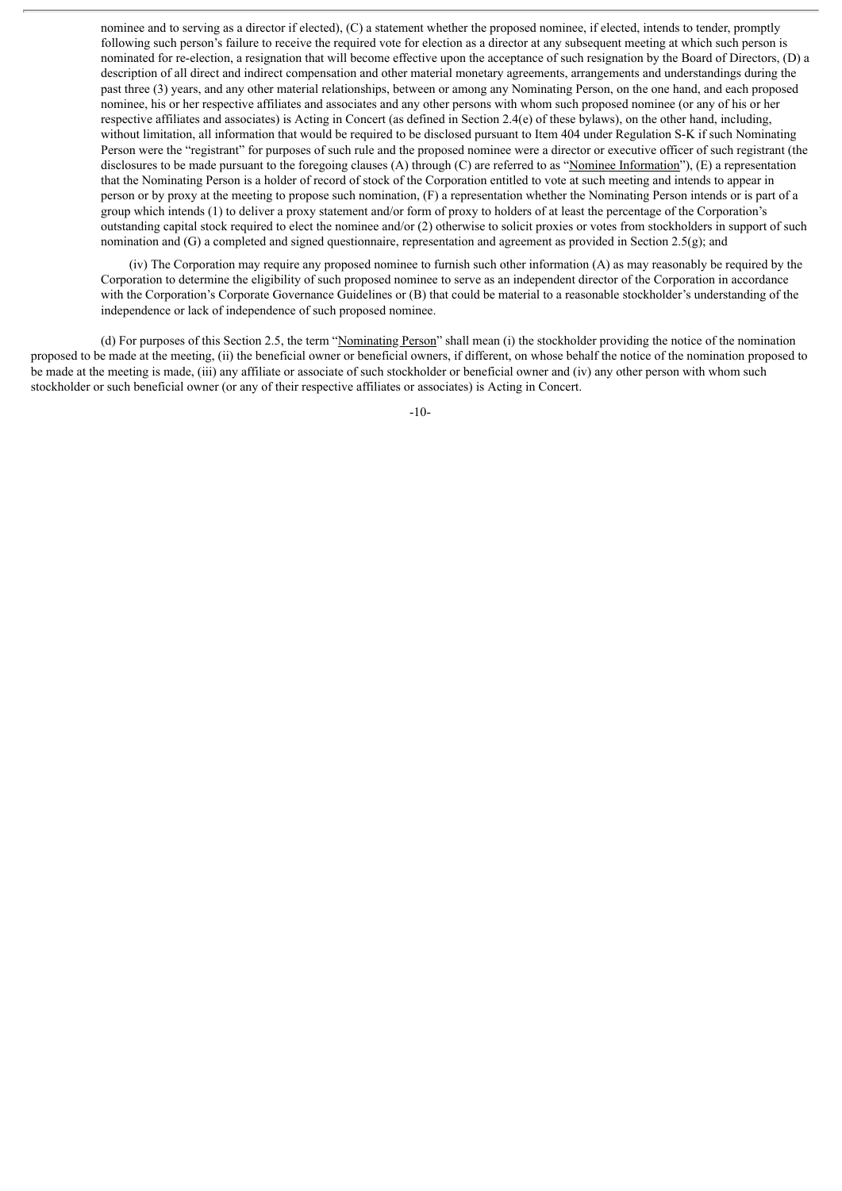nominee and to serving as a director if elected), (C) a statement whether the proposed nominee, if elected, intends to tender, promptly following such person's failure to receive the required vote for election as a director at any subsequent meeting at which such person is nominated for re-election, a resignation that will become effective upon the acceptance of such resignation by the Board of Directors, (D) a description of all direct and indirect compensation and other material monetary agreements, arrangements and understandings during the past three (3) years, and any other material relationships, between or among any Nominating Person, on the one hand, and each proposed nominee, his or her respective affiliates and associates and any other persons with whom such proposed nominee (or any of his or her respective affiliates and associates) is Acting in Concert (as defined in Section 2.4(e) of these bylaws), on the other hand, including, without limitation, all information that would be required to be disclosed pursuant to Item 404 under Regulation S-K if such Nominating Person were the "registrant" for purposes of such rule and the proposed nominee were a director or executive officer of such registrant (the disclosures to be made pursuant to the foregoing clauses (A) through (C) are referred to as "Nominee Information"), (E) a representation that the Nominating Person is a holder of record of stock of the Corporation entitled to vote at such meeting and intends to appear in person or by proxy at the meeting to propose such nomination, (F) a representation whether the Nominating Person intends or is part of a group which intends (1) to deliver a proxy statement and/or form of proxy to holders of at least the percentage of the Corporation's outstanding capital stock required to elect the nominee and/or (2) otherwise to solicit proxies or votes from stockholders in support of such nomination and (G) a completed and signed questionnaire, representation and agreement as provided in Section 2.5(g); and

(iv) The Corporation may require any proposed nominee to furnish such other information (A) as may reasonably be required by the Corporation to determine the eligibility of such proposed nominee to serve as an independent director of the Corporation in accordance with the Corporation's Corporate Governance Guidelines or (B) that could be material to a reasonable stockholder's understanding of the independence or lack of independence of such proposed nominee.

(d) For purposes of this Section 2.5, the term "Nominating Person" shall mean (i) the stockholder providing the notice of the nomination proposed to be made at the meeting, (ii) the beneficial owner or beneficial owners, if different, on whose behalf the notice of the nomination proposed to be made at the meeting is made, (iii) any affiliate or associate of such stockholder or beneficial owner and (iv) any other person with whom such stockholder or such beneficial owner (or any of their respective affiliates or associates) is Acting in Concert.

-10-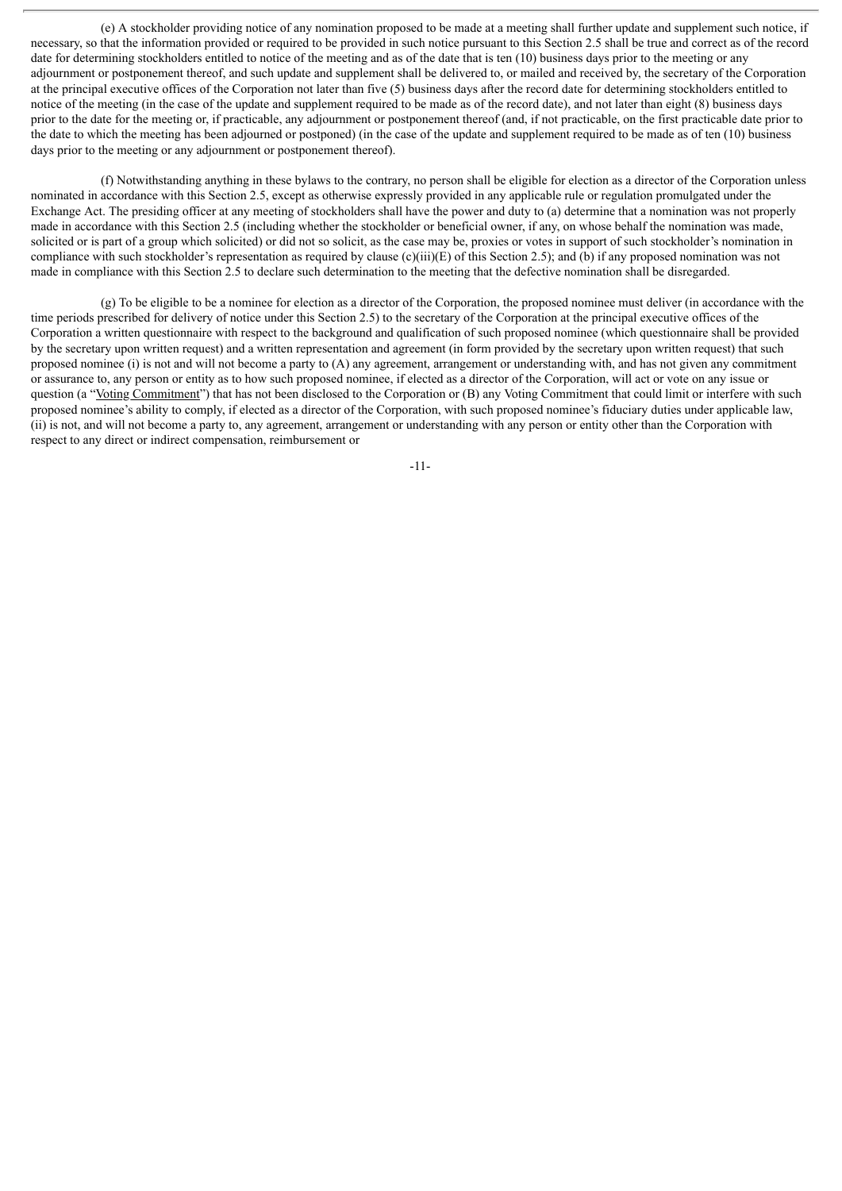(e) A stockholder providing notice of any nomination proposed to be made at a meeting shall further update and supplement such notice, if necessary, so that the information provided or required to be provided in such notice pursuant to this Section 2.5 shall be true and correct as of the record date for determining stockholders entitled to notice of the meeting and as of the date that is ten (10) business days prior to the meeting or any adjournment or postponement thereof, and such update and supplement shall be delivered to, or mailed and received by, the secretary of the Corporation at the principal executive offices of the Corporation not later than five (5) business days after the record date for determining stockholders entitled to notice of the meeting (in the case of the update and supplement required to be made as of the record date), and not later than eight (8) business days prior to the date for the meeting or, if practicable, any adjournment or postponement thereof (and, if not practicable, on the first practicable date prior to the date to which the meeting has been adjourned or postponed) (in the case of the update and supplement required to be made as of ten (10) business days prior to the meeting or any adjournment or postponement thereof).

(f) Notwithstanding anything in these bylaws to the contrary, no person shall be eligible for election as a director of the Corporation unless nominated in accordance with this Section 2.5, except as otherwise expressly provided in any applicable rule or regulation promulgated under the Exchange Act. The presiding officer at any meeting of stockholders shall have the power and duty to (a) determine that a nomination was not properly made in accordance with this Section 2.5 (including whether the stockholder or beneficial owner, if any, on whose behalf the nomination was made, solicited or is part of a group which solicited) or did not so solicit, as the case may be, proxies or votes in support of such stockholder's nomination in compliance with such stockholder's representation as required by clause (c)(iii)(E) of this Section 2.5); and (b) if any proposed nomination was not made in compliance with this Section 2.5 to declare such determination to the meeting that the defective nomination shall be disregarded.

(g) To be eligible to be a nominee for election as a director of the Corporation, the proposed nominee must deliver (in accordance with the time periods prescribed for delivery of notice under this Section 2.5) to the secretary of the Corporation at the principal executive offices of the Corporation a written questionnaire with respect to the background and qualification of such proposed nominee (which questionnaire shall be provided by the secretary upon written request) and a written representation and agreement (in form provided by the secretary upon written request) that such proposed nominee (i) is not and will not become a party to (A) any agreement, arrangement or understanding with, and has not given any commitment or assurance to, any person or entity as to how such proposed nominee, if elected as a director of the Corporation, will act or vote on any issue or question (a "Voting Commitment") that has not been disclosed to the Corporation or (B) any Voting Commitment that could limit or interfere with such proposed nominee's ability to comply, if elected as a director of the Corporation, with such proposed nominee's fiduciary duties under applicable law, (ii) is not, and will not become a party to, any agreement, arrangement or understanding with any person or entity other than the Corporation with respect to any direct or indirect compensation, reimbursement or

-11-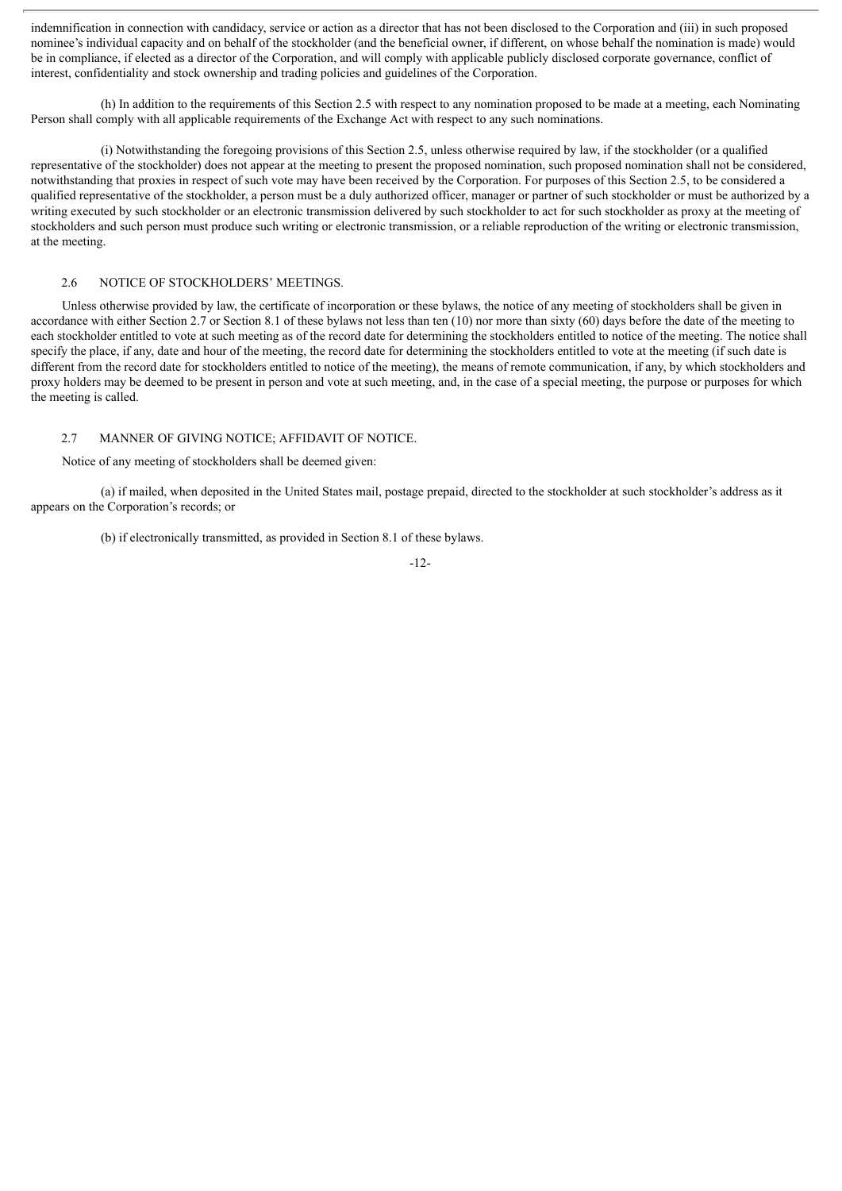indemnification in connection with candidacy, service or action as a director that has not been disclosed to the Corporation and (iii) in such proposed nominee's individual capacity and on behalf of the stockholder (and the beneficial owner, if different, on whose behalf the nomination is made) would be in compliance, if elected as a director of the Corporation, and will comply with applicable publicly disclosed corporate governance, conflict of interest, confidentiality and stock ownership and trading policies and guidelines of the Corporation.

(h) In addition to the requirements of this Section 2.5 with respect to any nomination proposed to be made at a meeting, each Nominating Person shall comply with all applicable requirements of the Exchange Act with respect to any such nominations.

(i) Notwithstanding the foregoing provisions of this Section 2.5, unless otherwise required by law, if the stockholder (or a qualified representative of the stockholder) does not appear at the meeting to present the proposed nomination, such proposed nomination shall not be considered, notwithstanding that proxies in respect of such vote may have been received by the Corporation. For purposes of this Section 2.5, to be considered a qualified representative of the stockholder, a person must be a duly authorized officer, manager or partner of such stockholder or must be authorized by a writing executed by such stockholder or an electronic transmission delivered by such stockholder to act for such stockholder as proxy at the meeting of stockholders and such person must produce such writing or electronic transmission, or a reliable reproduction of the writing or electronic transmission, at the meeting.

#### 2.6 NOTICE OF STOCKHOLDERS' MEETINGS.

Unless otherwise provided by law, the certificate of incorporation or these bylaws, the notice of any meeting of stockholders shall be given in accordance with either Section 2.7 or Section 8.1 of these bylaws not less than ten (10) nor more than sixty (60) days before the date of the meeting to each stockholder entitled to vote at such meeting as of the record date for determining the stockholders entitled to notice of the meeting. The notice shall specify the place, if any, date and hour of the meeting, the record date for determining the stockholders entitled to vote at the meeting (if such date is different from the record date for stockholders entitled to notice of the meeting), the means of remote communication, if any, by which stockholders and proxy holders may be deemed to be present in person and vote at such meeting, and, in the case of a special meeting, the purpose or purposes for which the meeting is called.

#### 2.7 MANNER OF GIVING NOTICE; AFFIDAVIT OF NOTICE.

Notice of any meeting of stockholders shall be deemed given:

(a) if mailed, when deposited in the United States mail, postage prepaid, directed to the stockholder at such stockholder's address as it appears on the Corporation's records; or

(b) if electronically transmitted, as provided in Section 8.1 of these bylaws.

-12-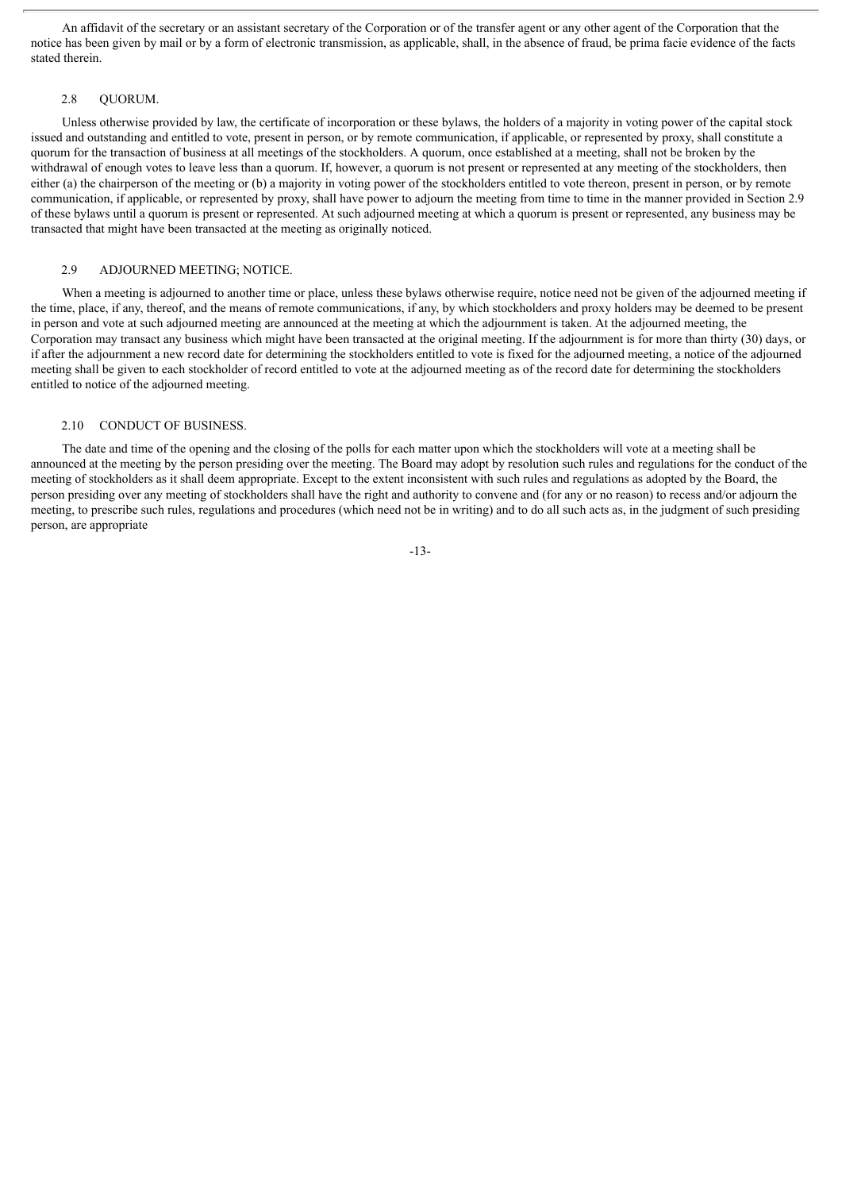An affidavit of the secretary or an assistant secretary of the Corporation or of the transfer agent or any other agent of the Corporation that the notice has been given by mail or by a form of electronic transmission, as applicable, shall, in the absence of fraud, be prima facie evidence of the facts stated therein.

#### 2.8 QUORUM.

Unless otherwise provided by law, the certificate of incorporation or these bylaws, the holders of a majority in voting power of the capital stock issued and outstanding and entitled to vote, present in person, or by remote communication, if applicable, or represented by proxy, shall constitute a quorum for the transaction of business at all meetings of the stockholders. A quorum, once established at a meeting, shall not be broken by the withdrawal of enough votes to leave less than a quorum. If, however, a quorum is not present or represented at any meeting of the stockholders, then either (a) the chairperson of the meeting or (b) a majority in voting power of the stockholders entitled to vote thereon, present in person, or by remote communication, if applicable, or represented by proxy, shall have power to adjourn the meeting from time to time in the manner provided in Section 2.9 of these bylaws until a quorum is present or represented. At such adjourned meeting at which a quorum is present or represented, any business may be transacted that might have been transacted at the meeting as originally noticed.

#### 2.9 ADJOURNED MEETING; NOTICE.

When a meeting is adjourned to another time or place, unless these bylaws otherwise require, notice need not be given of the adjourned meeting if the time, place, if any, thereof, and the means of remote communications, if any, by which stockholders and proxy holders may be deemed to be present in person and vote at such adjourned meeting are announced at the meeting at which the adjournment is taken. At the adjourned meeting, the Corporation may transact any business which might have been transacted at the original meeting. If the adjournment is for more than thirty (30) days, or if after the adjournment a new record date for determining the stockholders entitled to vote is fixed for the adjourned meeting, a notice of the adjourned meeting shall be given to each stockholder of record entitled to vote at the adjourned meeting as of the record date for determining the stockholders entitled to notice of the adjourned meeting.

#### 2.10 CONDUCT OF BUSINESS.

The date and time of the opening and the closing of the polls for each matter upon which the stockholders will vote at a meeting shall be announced at the meeting by the person presiding over the meeting. The Board may adopt by resolution such rules and regulations for the conduct of the meeting of stockholders as it shall deem appropriate. Except to the extent inconsistent with such rules and regulations as adopted by the Board, the person presiding over any meeting of stockholders shall have the right and authority to convene and (for any or no reason) to recess and/or adjourn the meeting, to prescribe such rules, regulations and procedures (which need not be in writing) and to do all such acts as, in the judgment of such presiding person, are appropriate

-13-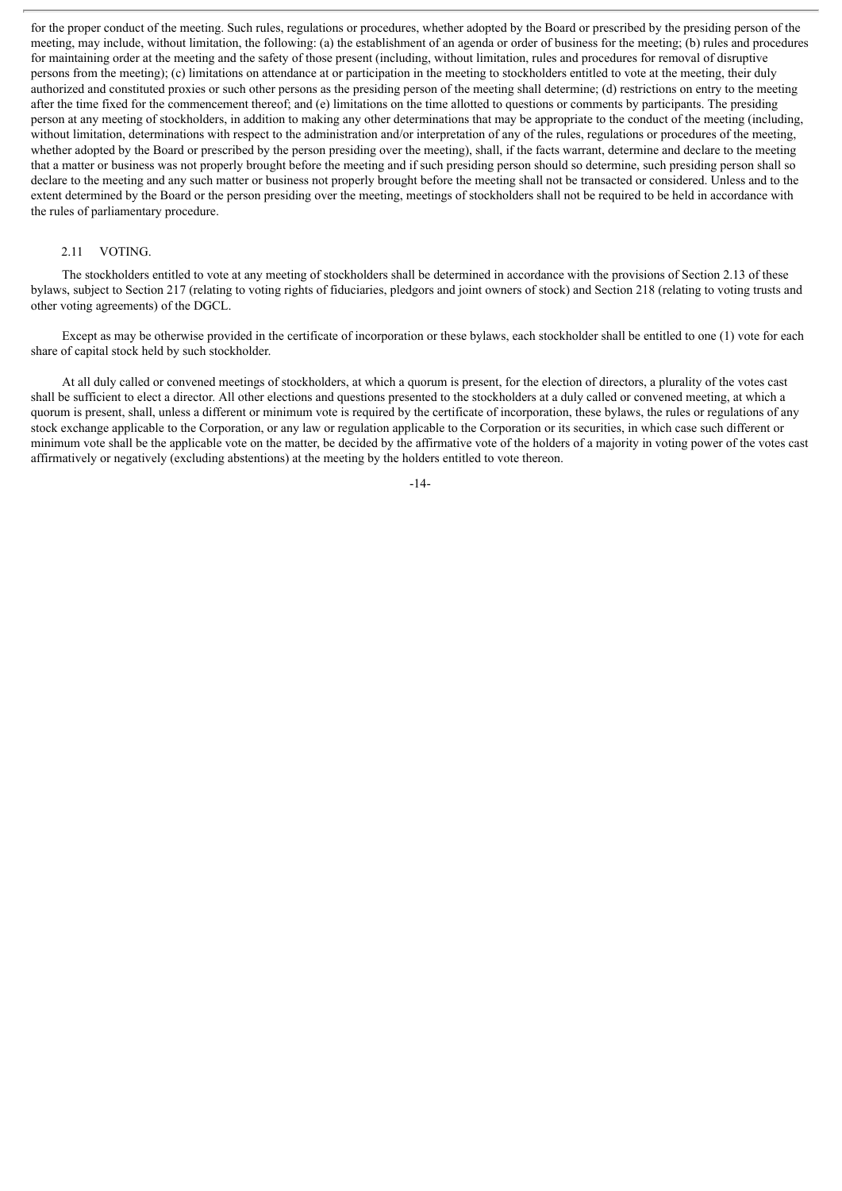for the proper conduct of the meeting. Such rules, regulations or procedures, whether adopted by the Board or prescribed by the presiding person of the meeting, may include, without limitation, the following: (a) the establishment of an agenda or order of business for the meeting; (b) rules and procedures for maintaining order at the meeting and the safety of those present (including, without limitation, rules and procedures for removal of disruptive persons from the meeting); (c) limitations on attendance at or participation in the meeting to stockholders entitled to vote at the meeting, their duly authorized and constituted proxies or such other persons as the presiding person of the meeting shall determine; (d) restrictions on entry to the meeting after the time fixed for the commencement thereof; and (e) limitations on the time allotted to questions or comments by participants. The presiding person at any meeting of stockholders, in addition to making any other determinations that may be appropriate to the conduct of the meeting (including, without limitation, determinations with respect to the administration and/or interpretation of any of the rules, regulations or procedures of the meeting, whether adopted by the Board or prescribed by the person presiding over the meeting), shall, if the facts warrant, determine and declare to the meeting that a matter or business was not properly brought before the meeting and if such presiding person should so determine, such presiding person shall so declare to the meeting and any such matter or business not properly brought before the meeting shall not be transacted or considered. Unless and to the extent determined by the Board or the person presiding over the meeting, meetings of stockholders shall not be required to be held in accordance with the rules of parliamentary procedure.

#### 2.11 VOTING.

The stockholders entitled to vote at any meeting of stockholders shall be determined in accordance with the provisions of Section 2.13 of these bylaws, subject to Section 217 (relating to voting rights of fiduciaries, pledgors and joint owners of stock) and Section 218 (relating to voting trusts and other voting agreements) of the DGCL.

Except as may be otherwise provided in the certificate of incorporation or these bylaws, each stockholder shall be entitled to one (1) vote for each share of capital stock held by such stockholder.

At all duly called or convened meetings of stockholders, at which a quorum is present, for the election of directors, a plurality of the votes cast shall be sufficient to elect a director. All other elections and questions presented to the stockholders at a duly called or convened meeting, at which a quorum is present, shall, unless a different or minimum vote is required by the certificate of incorporation, these bylaws, the rules or regulations of any stock exchange applicable to the Corporation, or any law or regulation applicable to the Corporation or its securities, in which case such different or minimum vote shall be the applicable vote on the matter, be decided by the affirmative vote of the holders of a majority in voting power of the votes cast affirmatively or negatively (excluding abstentions) at the meeting by the holders entitled to vote thereon.

-14-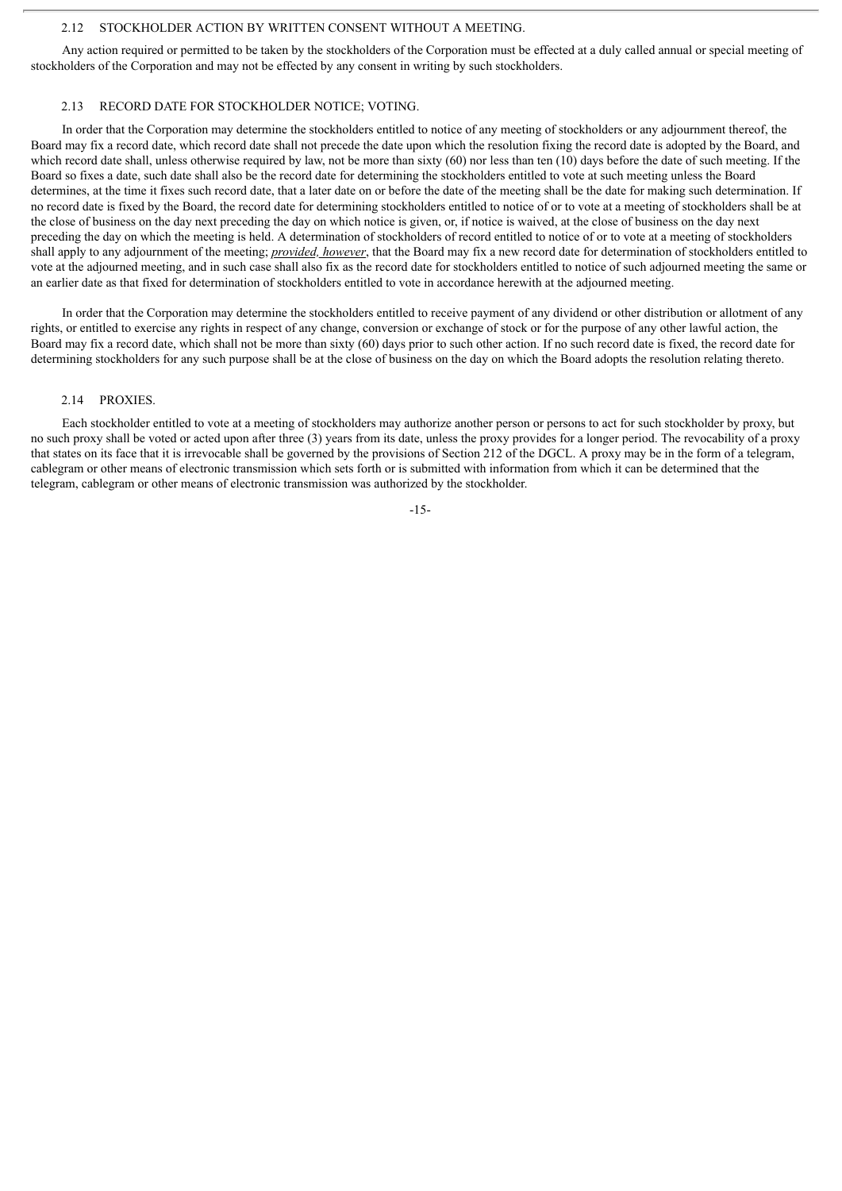#### 2.12 STOCKHOLDER ACTION BY WRITTEN CONSENT WITHOUT A MEETING.

Any action required or permitted to be taken by the stockholders of the Corporation must be effected at a duly called annual or special meeting of stockholders of the Corporation and may not be effected by any consent in writing by such stockholders.

#### 2.13 RECORD DATE FOR STOCKHOLDER NOTICE; VOTING.

In order that the Corporation may determine the stockholders entitled to notice of any meeting of stockholders or any adjournment thereof, the Board may fix a record date, which record date shall not precede the date upon which the resolution fixing the record date is adopted by the Board, and which record date shall, unless otherwise required by law, not be more than sixty (60) nor less than ten (10) days before the date of such meeting. If the Board so fixes a date, such date shall also be the record date for determining the stockholders entitled to vote at such meeting unless the Board determines, at the time it fixes such record date, that a later date on or before the date of the meeting shall be the date for making such determination. If no record date is fixed by the Board, the record date for determining stockholders entitled to notice of or to vote at a meeting of stockholders shall be at the close of business on the day next preceding the day on which notice is given, or, if notice is waived, at the close of business on the day next preceding the day on which the meeting is held. A determination of stockholders of record entitled to notice of or to vote at a meeting of stockholders shall apply to any adjournment of the meeting; *provided, however*, that the Board may fix a new record date for determination of stockholders entitled to vote at the adjourned meeting, and in such case shall also fix as the record date for stockholders entitled to notice of such adjourned meeting the same or an earlier date as that fixed for determination of stockholders entitled to vote in accordance herewith at the adjourned meeting.

In order that the Corporation may determine the stockholders entitled to receive payment of any dividend or other distribution or allotment of any rights, or entitled to exercise any rights in respect of any change, conversion or exchange of stock or for the purpose of any other lawful action, the Board may fix a record date, which shall not be more than sixty (60) days prior to such other action. If no such record date is fixed, the record date for determining stockholders for any such purpose shall be at the close of business on the day on which the Board adopts the resolution relating thereto.

#### 2.14 PROXIES.

Each stockholder entitled to vote at a meeting of stockholders may authorize another person or persons to act for such stockholder by proxy, but no such proxy shall be voted or acted upon after three (3) years from its date, unless the proxy provides for a longer period. The revocability of a proxy that states on its face that it is irrevocable shall be governed by the provisions of Section 212 of the DGCL. A proxy may be in the form of a telegram, cablegram or other means of electronic transmission which sets forth or is submitted with information from which it can be determined that the telegram, cablegram or other means of electronic transmission was authorized by the stockholder.

-15-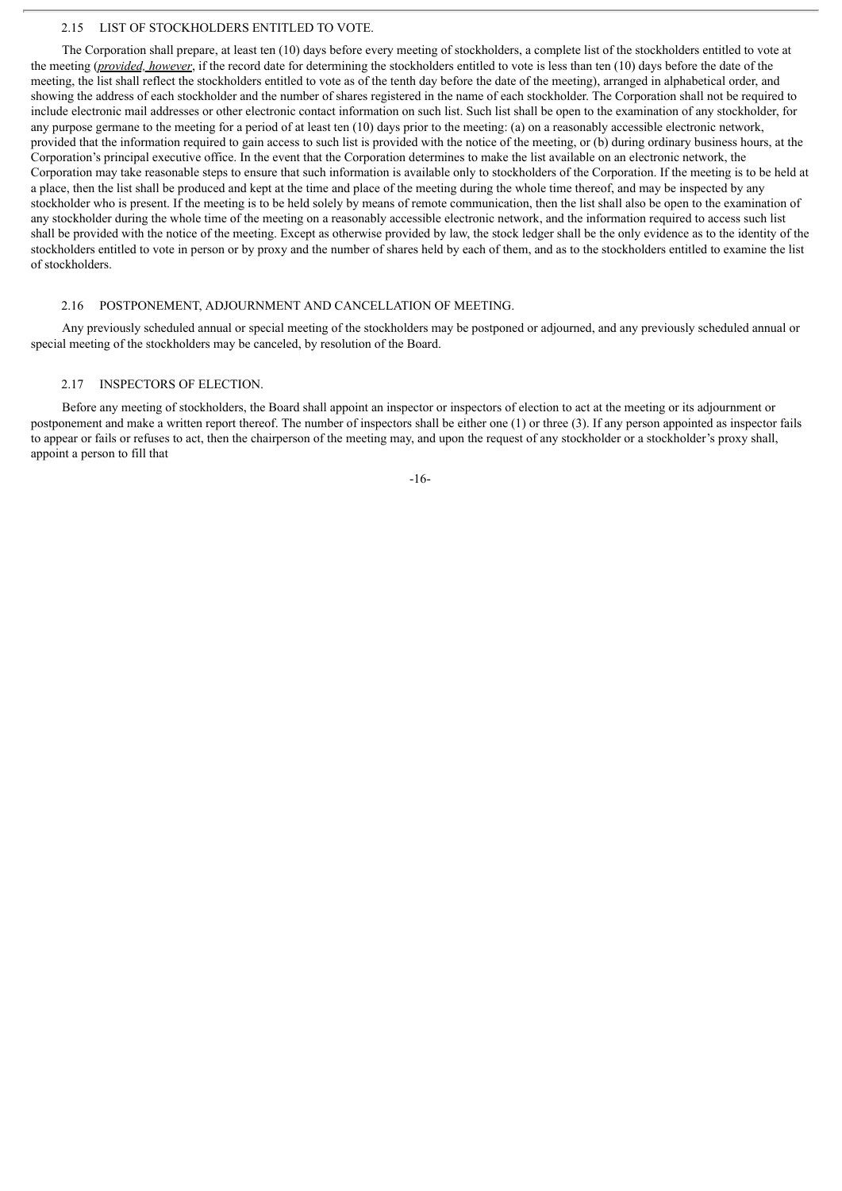#### 2.15 LIST OF STOCKHOLDERS ENTITLED TO VOTE.

The Corporation shall prepare, at least ten (10) days before every meeting of stockholders, a complete list of the stockholders entitled to vote at the meeting (*provided, however*, if the record date for determining the stockholders entitled to vote is less than ten (10) days before the date of the meeting, the list shall reflect the stockholders entitled to vote as of the tenth day before the date of the meeting), arranged in alphabetical order, and showing the address of each stockholder and the number of shares registered in the name of each stockholder. The Corporation shall not be required to include electronic mail addresses or other electronic contact information on such list. Such list shall be open to the examination of any stockholder, for any purpose germane to the meeting for a period of at least ten (10) days prior to the meeting: (a) on a reasonably accessible electronic network, provided that the information required to gain access to such list is provided with the notice of the meeting, or (b) during ordinary business hours, at the Corporation's principal executive office. In the event that the Corporation determines to make the list available on an electronic network, the Corporation may take reasonable steps to ensure that such information is available only to stockholders of the Corporation. If the meeting is to be held at a place, then the list shall be produced and kept at the time and place of the meeting during the whole time thereof, and may be inspected by any stockholder who is present. If the meeting is to be held solely by means of remote communication, then the list shall also be open to the examination of any stockholder during the whole time of the meeting on a reasonably accessible electronic network, and the information required to access such list shall be provided with the notice of the meeting. Except as otherwise provided by law, the stock ledger shall be the only evidence as to the identity of the stockholders entitled to vote in person or by proxy and the number of shares held by each of them, and as to the stockholders entitled to examine the list of stockholders.

#### 2.16 POSTPONEMENT, ADJOURNMENT AND CANCELLATION OF MEETING.

Any previously scheduled annual or special meeting of the stockholders may be postponed or adjourned, and any previously scheduled annual or special meeting of the stockholders may be canceled, by resolution of the Board.

## 2.17 INSPECTORS OF ELECTION.

Before any meeting of stockholders, the Board shall appoint an inspector or inspectors of election to act at the meeting or its adjournment or postponement and make a written report thereof. The number of inspectors shall be either one (1) or three (3). If any person appointed as inspector fails to appear or fails or refuses to act, then the chairperson of the meeting may, and upon the request of any stockholder or a stockholder's proxy shall, appoint a person to fill that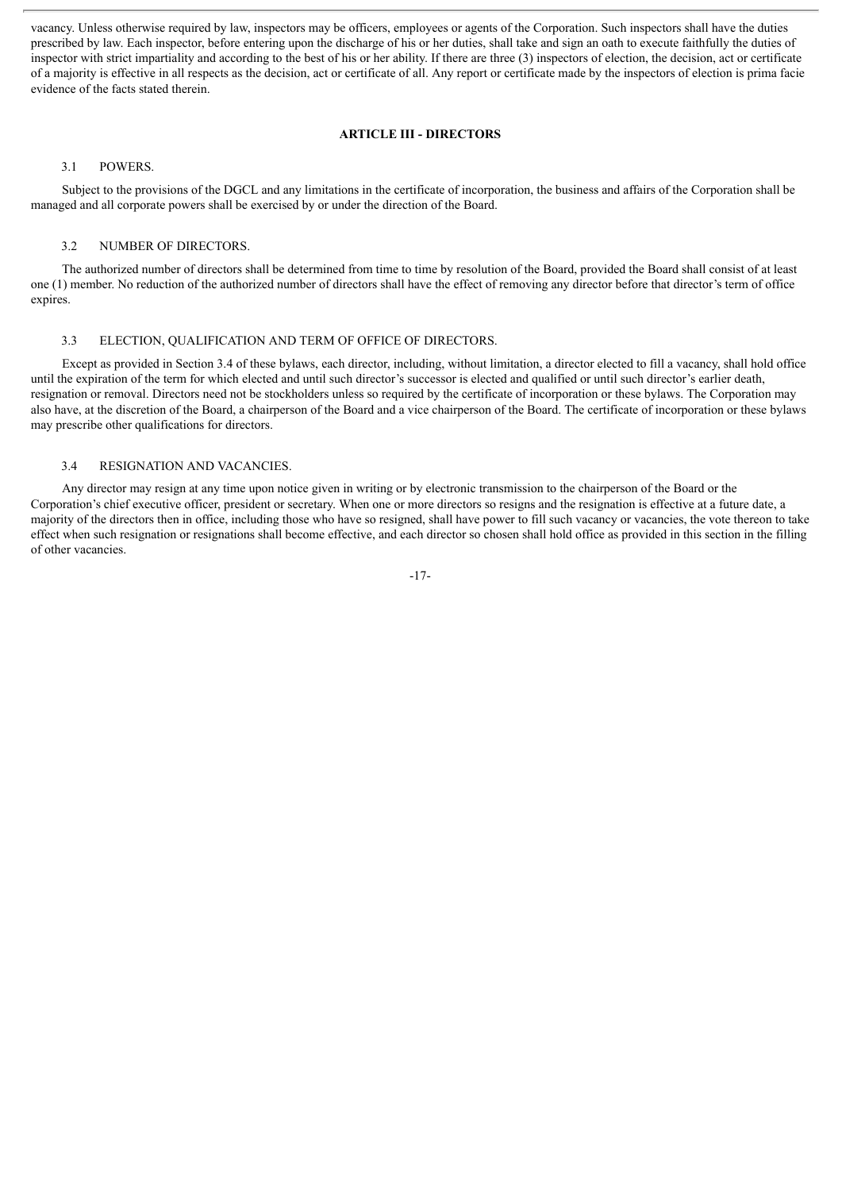vacancy. Unless otherwise required by law, inspectors may be officers, employees or agents of the Corporation. Such inspectors shall have the duties prescribed by law. Each inspector, before entering upon the discharge of his or her duties, shall take and sign an oath to execute faithfully the duties of inspector with strict impartiality and according to the best of his or her ability. If there are three (3) inspectors of election, the decision, act or certificate of a majority is effective in all respects as the decision, act or certificate of all. Any report or certificate made by the inspectors of election is prima facie evidence of the facts stated therein.

# **ARTICLE III - DIRECTORS**

#### 3.1 POWERS.

Subject to the provisions of the DGCL and any limitations in the certificate of incorporation, the business and affairs of the Corporation shall be managed and all corporate powers shall be exercised by or under the direction of the Board.

#### 3.2 NUMBER OF DIRECTORS.

The authorized number of directors shall be determined from time to time by resolution of the Board, provided the Board shall consist of at least one (1) member. No reduction of the authorized number of directors shall have the effect of removing any director before that director's term of office expires.

#### 3.3 ELECTION, QUALIFICATION AND TERM OF OFFICE OF DIRECTORS.

Except as provided in Section 3.4 of these bylaws, each director, including, without limitation, a director elected to fill a vacancy, shall hold office until the expiration of the term for which elected and until such director's successor is elected and qualified or until such director's earlier death, resignation or removal. Directors need not be stockholders unless so required by the certificate of incorporation or these bylaws. The Corporation may also have, at the discretion of the Board, a chairperson of the Board and a vice chairperson of the Board. The certificate of incorporation or these bylaws may prescribe other qualifications for directors.

# 3.4 RESIGNATION AND VACANCIES.

Any director may resign at any time upon notice given in writing or by electronic transmission to the chairperson of the Board or the Corporation's chief executive officer, president or secretary. When one or more directors so resigns and the resignation is effective at a future date, a majority of the directors then in office, including those who have so resigned, shall have power to fill such vacancy or vacancies, the vote thereon to take effect when such resignation or resignations shall become effective, and each director so chosen shall hold office as provided in this section in the filling of other vacancies.

-17-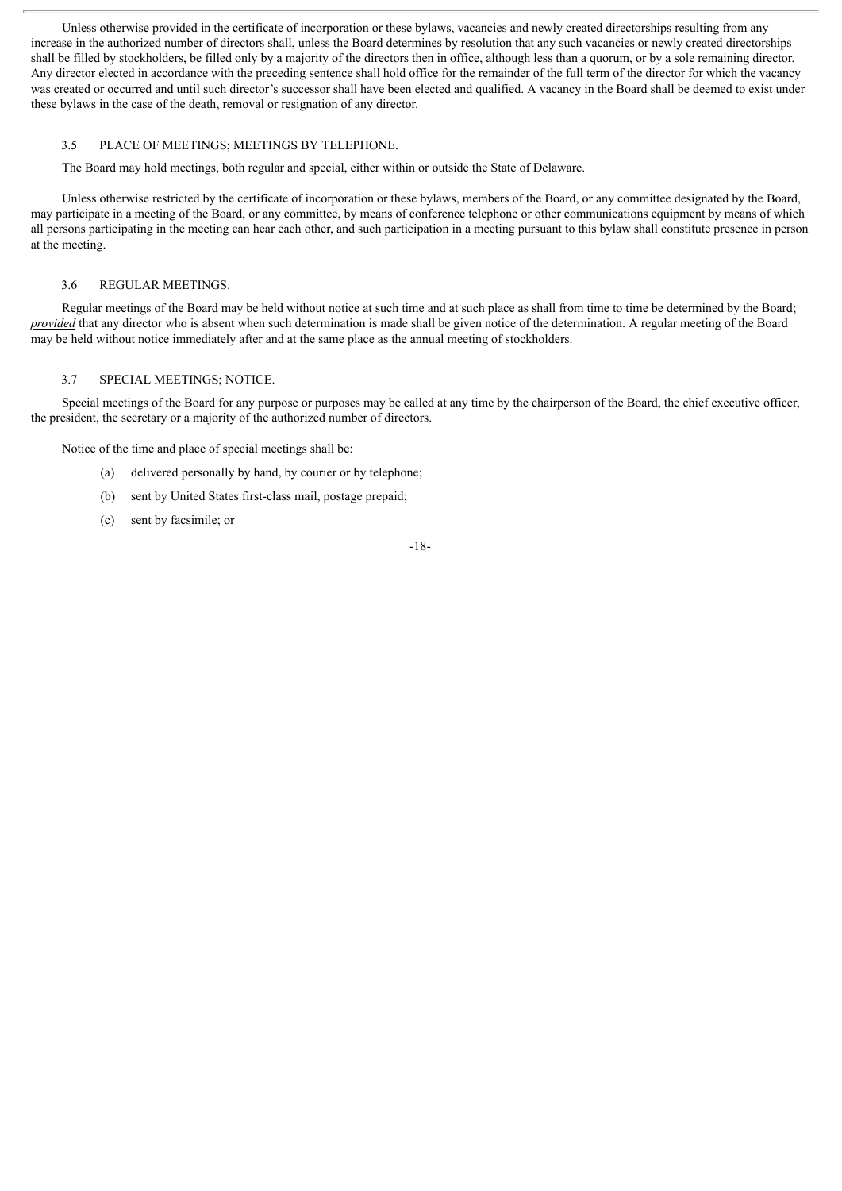Unless otherwise provided in the certificate of incorporation or these bylaws, vacancies and newly created directorships resulting from any increase in the authorized number of directors shall, unless the Board determines by resolution that any such vacancies or newly created directorships shall be filled by stockholders, be filled only by a majority of the directors then in office, although less than a quorum, or by a sole remaining director. Any director elected in accordance with the preceding sentence shall hold office for the remainder of the full term of the director for which the vacancy was created or occurred and until such director's successor shall have been elected and qualified. A vacancy in the Board shall be deemed to exist under these bylaws in the case of the death, removal or resignation of any director.

# 3.5 PLACE OF MEETINGS; MEETINGS BY TELEPHONE.

The Board may hold meetings, both regular and special, either within or outside the State of Delaware.

Unless otherwise restricted by the certificate of incorporation or these bylaws, members of the Board, or any committee designated by the Board, may participate in a meeting of the Board, or any committee, by means of conference telephone or other communications equipment by means of which all persons participating in the meeting can hear each other, and such participation in a meeting pursuant to this bylaw shall constitute presence in person at the meeting.

# 3.6 REGULAR MEETINGS.

Regular meetings of the Board may be held without notice at such time and at such place as shall from time to time be determined by the Board; *provided* that any director who is absent when such determination is made shall be given notice of the determination. A regular meeting of the Board may be held without notice immediately after and at the same place as the annual meeting of stockholders.

# 3.7 SPECIAL MEETINGS; NOTICE.

Special meetings of the Board for any purpose or purposes may be called at any time by the chairperson of the Board, the chief executive officer, the president, the secretary or a majority of the authorized number of directors.

Notice of the time and place of special meetings shall be:

- (a) delivered personally by hand, by courier or by telephone;
- (b) sent by United States first-class mail, postage prepaid;
- (c) sent by facsimile; or

-18-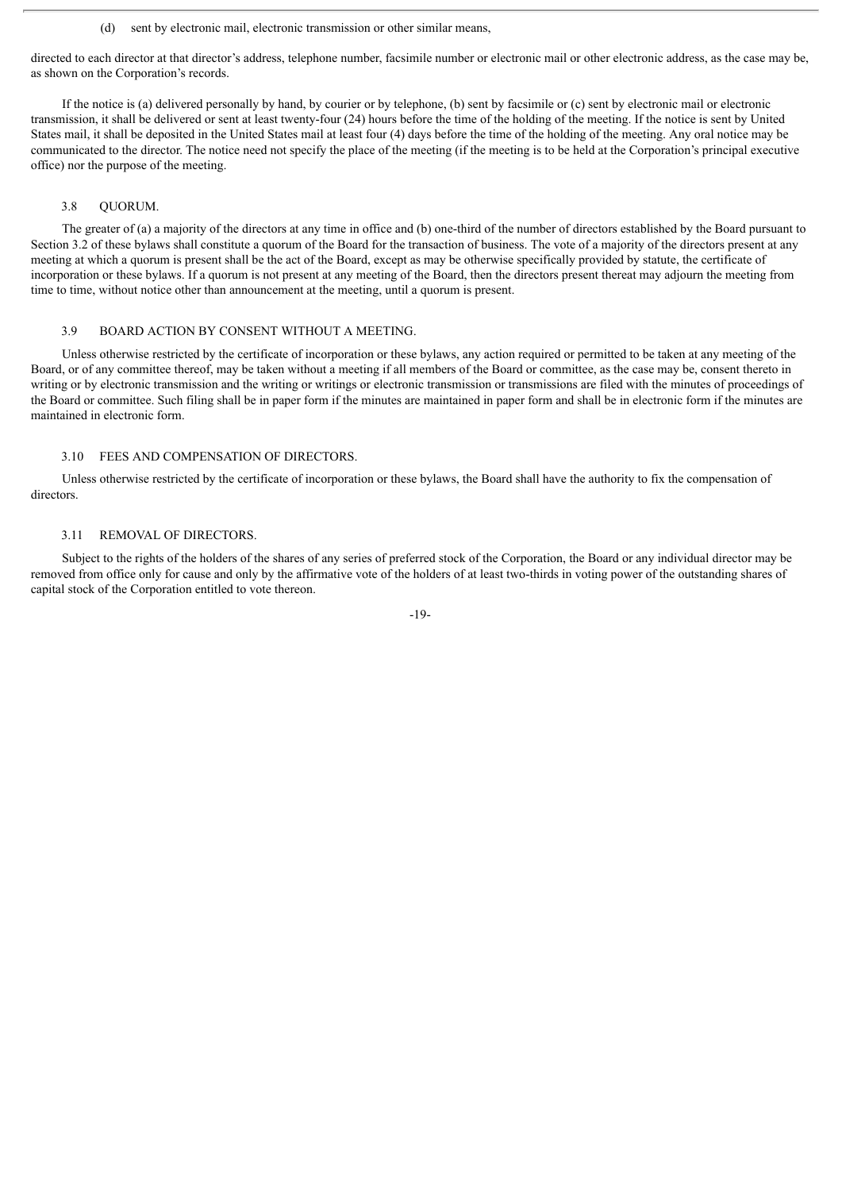(d) sent by electronic mail, electronic transmission or other similar means,

directed to each director at that director's address, telephone number, facsimile number or electronic mail or other electronic address, as the case may be, as shown on the Corporation's records.

If the notice is (a) delivered personally by hand, by courier or by telephone, (b) sent by facsimile or (c) sent by electronic mail or electronic transmission, it shall be delivered or sent at least twenty-four (24) hours before the time of the holding of the meeting. If the notice is sent by United States mail, it shall be deposited in the United States mail at least four (4) days before the time of the holding of the meeting. Any oral notice may be communicated to the director. The notice need not specify the place of the meeting (if the meeting is to be held at the Corporation's principal executive office) nor the purpose of the meeting.

#### 3.8 QUORUM.

The greater of (a) a majority of the directors at any time in office and (b) one-third of the number of directors established by the Board pursuant to Section 3.2 of these bylaws shall constitute a quorum of the Board for the transaction of business. The vote of a majority of the directors present at any meeting at which a quorum is present shall be the act of the Board, except as may be otherwise specifically provided by statute, the certificate of incorporation or these bylaws. If a quorum is not present at any meeting of the Board, then the directors present thereat may adjourn the meeting from time to time, without notice other than announcement at the meeting, until a quorum is present.

#### 3.9 BOARD ACTION BY CONSENT WITHOUT A MEETING.

Unless otherwise restricted by the certificate of incorporation or these bylaws, any action required or permitted to be taken at any meeting of the Board, or of any committee thereof, may be taken without a meeting if all members of the Board or committee, as the case may be, consent thereto in writing or by electronic transmission and the writing or writings or electronic transmission or transmissions are filed with the minutes of proceedings of the Board or committee. Such filing shall be in paper form if the minutes are maintained in paper form and shall be in electronic form if the minutes are maintained in electronic form.

#### 3.10 FEES AND COMPENSATION OF DIRECTORS.

Unless otherwise restricted by the certificate of incorporation or these bylaws, the Board shall have the authority to fix the compensation of directors.

#### 3.11 REMOVAL OF DIRECTORS.

Subject to the rights of the holders of the shares of any series of preferred stock of the Corporation, the Board or any individual director may be removed from office only for cause and only by the affirmative vote of the holders of at least two-thirds in voting power of the outstanding shares of capital stock of the Corporation entitled to vote thereon.

-19-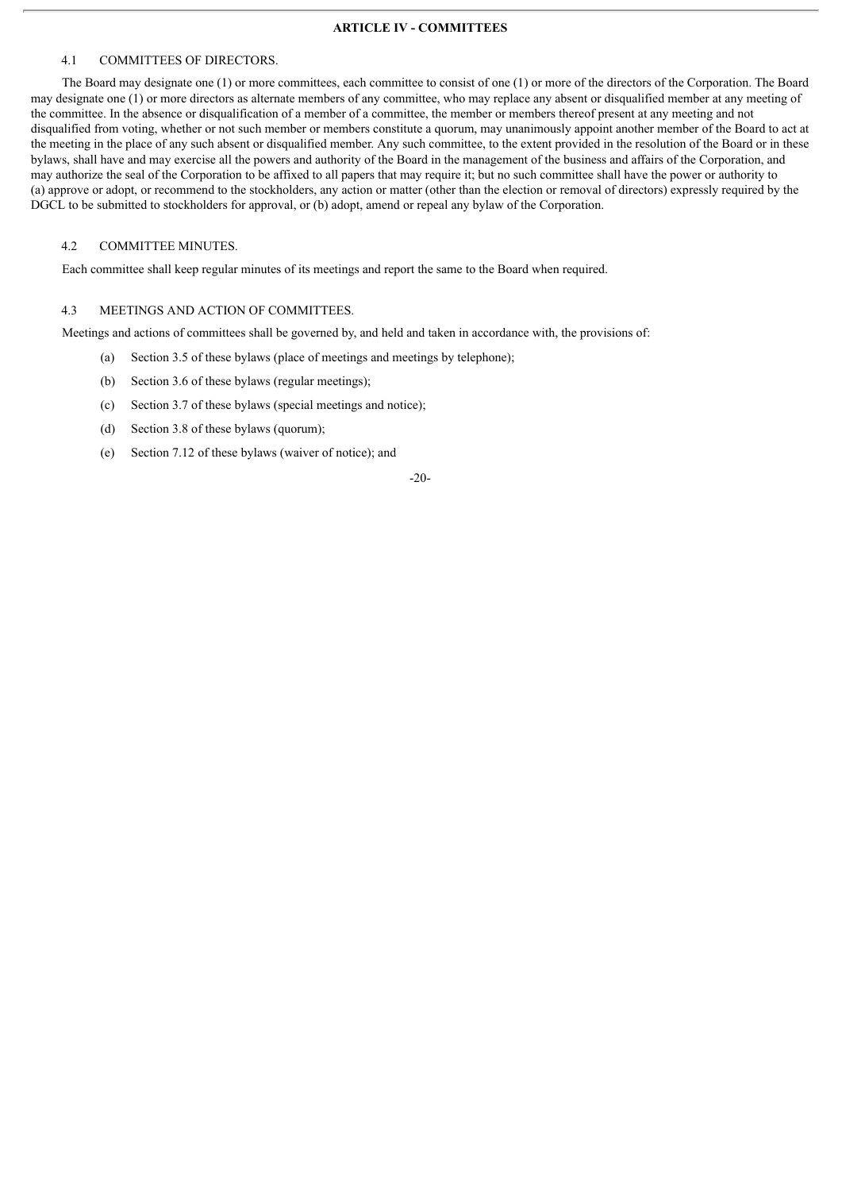#### **ARTICLE IV - COMMITTEES**

#### 4.1 COMMITTEES OF DIRECTORS.

The Board may designate one (1) or more committees, each committee to consist of one (1) or more of the directors of the Corporation. The Board may designate one (1) or more directors as alternate members of any committee, who may replace any absent or disqualified member at any meeting of the committee. In the absence or disqualification of a member of a committee, the member or members thereof present at any meeting and not disqualified from voting, whether or not such member or members constitute a quorum, may unanimously appoint another member of the Board to act at the meeting in the place of any such absent or disqualified member. Any such committee, to the extent provided in the resolution of the Board or in these bylaws, shall have and may exercise all the powers and authority of the Board in the management of the business and affairs of the Corporation, and may authorize the seal of the Corporation to be affixed to all papers that may require it; but no such committee shall have the power or authority to (a) approve or adopt, or recommend to the stockholders, any action or matter (other than the election or removal of directors) expressly required by the DGCL to be submitted to stockholders for approval, or (b) adopt, amend or repeal any bylaw of the Corporation.

#### 4.2 COMMITTEE MINUTES.

Each committee shall keep regular minutes of its meetings and report the same to the Board when required.

#### 4.3 MEETINGS AND ACTION OF COMMITTEES.

Meetings and actions of committees shall be governed by, and held and taken in accordance with, the provisions of:

- (a) Section 3.5 of these bylaws (place of meetings and meetings by telephone);
- (b) Section 3.6 of these bylaws (regular meetings);
- (c) Section 3.7 of these bylaws (special meetings and notice);
- (d) Section 3.8 of these bylaws (quorum);
- (e) Section 7.12 of these bylaws (waiver of notice); and

#### -20-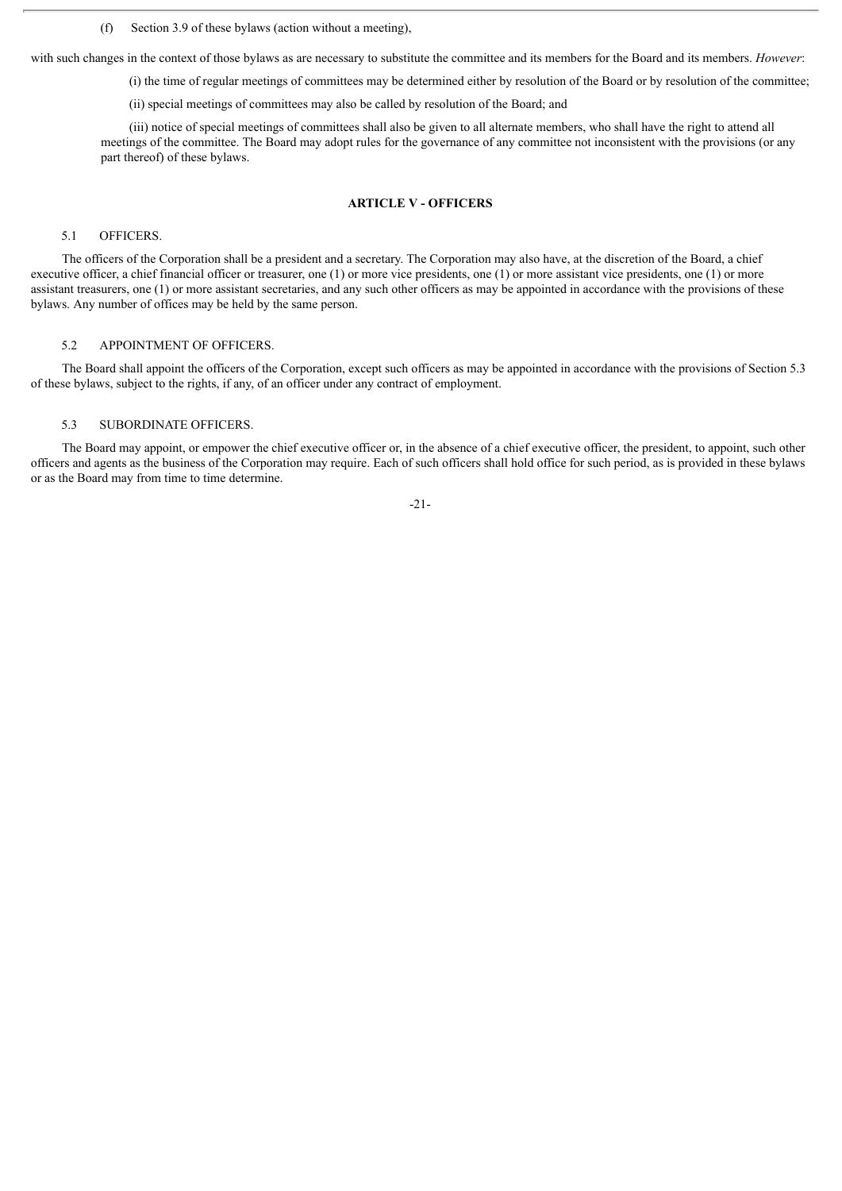(f) Section 3.9 of these bylaws (action without a meeting),

with such changes in the context of those bylaws as are necessary to substitute the committee and its members for the Board and its members. *However*:

(i) the time of regular meetings of committees may be determined either by resolution of the Board or by resolution of the committee;

(ii) special meetings of committees may also be called by resolution of the Board; and

(iii) notice of special meetings of committees shall also be given to all alternate members, who shall have the right to attend all meetings of the committee. The Board may adopt rules for the governance of any committee not inconsistent with the provisions (or any part thereof) of these bylaws.

#### **ARTICLE V - OFFICERS**

#### 5.1 OFFICERS.

The officers of the Corporation shall be a president and a secretary. The Corporation may also have, at the discretion of the Board, a chief executive officer, a chief financial officer or treasurer, one (1) or more vice presidents, one (1) or more assistant vice presidents, one (1) or more assistant treasurers, one (1) or more assistant secretaries, and any such other officers as may be appointed in accordance with the provisions of these bylaws. Any number of offices may be held by the same person.

#### 5.2 APPOINTMENT OF OFFICERS.

The Board shall appoint the officers of the Corporation, except such officers as may be appointed in accordance with the provisions of Section 5.3 of these bylaws, subject to the rights, if any, of an officer under any contract of employment.

#### 5.3 SUBORDINATE OFFICERS.

The Board may appoint, or empower the chief executive officer or, in the absence of a chief executive officer, the president, to appoint, such other officers and agents as the business of the Corporation may require. Each of such officers shall hold office for such period, as is provided in these bylaws or as the Board may from time to time determine.

-21-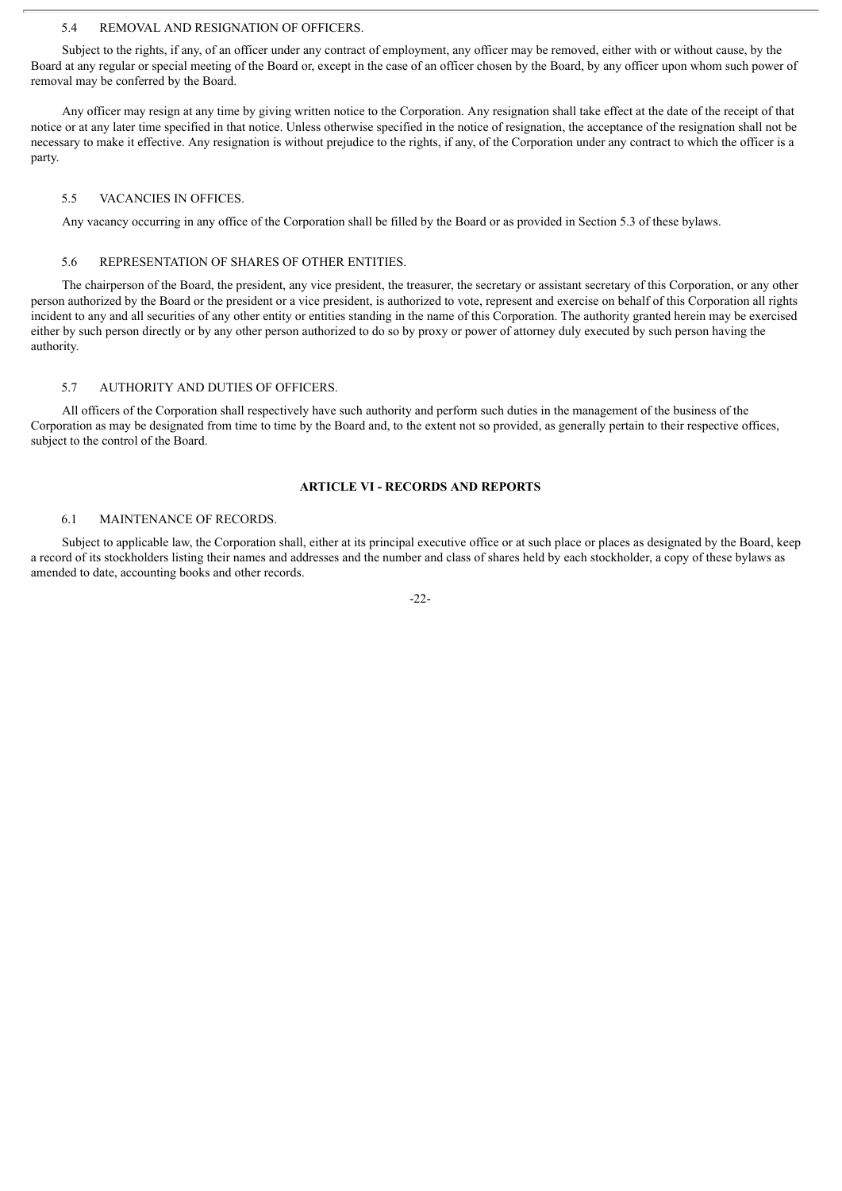#### 5.4 REMOVAL AND RESIGNATION OF OFFICERS.

Subject to the rights, if any, of an officer under any contract of employment, any officer may be removed, either with or without cause, by the Board at any regular or special meeting of the Board or, except in the case of an officer chosen by the Board, by any officer upon whom such power of removal may be conferred by the Board.

Any officer may resign at any time by giving written notice to the Corporation. Any resignation shall take effect at the date of the receipt of that notice or at any later time specified in that notice. Unless otherwise specified in the notice of resignation, the acceptance of the resignation shall not be necessary to make it effective. Any resignation is without prejudice to the rights, if any, of the Corporation under any contract to which the officer is a party.

#### 5.5 VACANCIES IN OFFICES.

Any vacancy occurring in any office of the Corporation shall be filled by the Board or as provided in Section 5.3 of these bylaws.

#### 5.6 REPRESENTATION OF SHARES OF OTHER ENTITIES.

The chairperson of the Board, the president, any vice president, the treasurer, the secretary or assistant secretary of this Corporation, or any other person authorized by the Board or the president or a vice president, is authorized to vote, represent and exercise on behalf of this Corporation all rights incident to any and all securities of any other entity or entities standing in the name of this Corporation. The authority granted herein may be exercised either by such person directly or by any other person authorized to do so by proxy or power of attorney duly executed by such person having the authority.

#### 5.7 AUTHORITY AND DUTIES OF OFFICERS.

All officers of the Corporation shall respectively have such authority and perform such duties in the management of the business of the Corporation as may be designated from time to time by the Board and, to the extent not so provided, as generally pertain to their respective offices, subject to the control of the Board.

#### **ARTICLE VI - RECORDS AND REPORTS**

#### 6.1 MAINTENANCE OF RECORDS.

Subject to applicable law, the Corporation shall, either at its principal executive office or at such place or places as designated by the Board, keep a record of its stockholders listing their names and addresses and the number and class of shares held by each stockholder, a copy of these bylaws as amended to date, accounting books and other records.

 $-22-$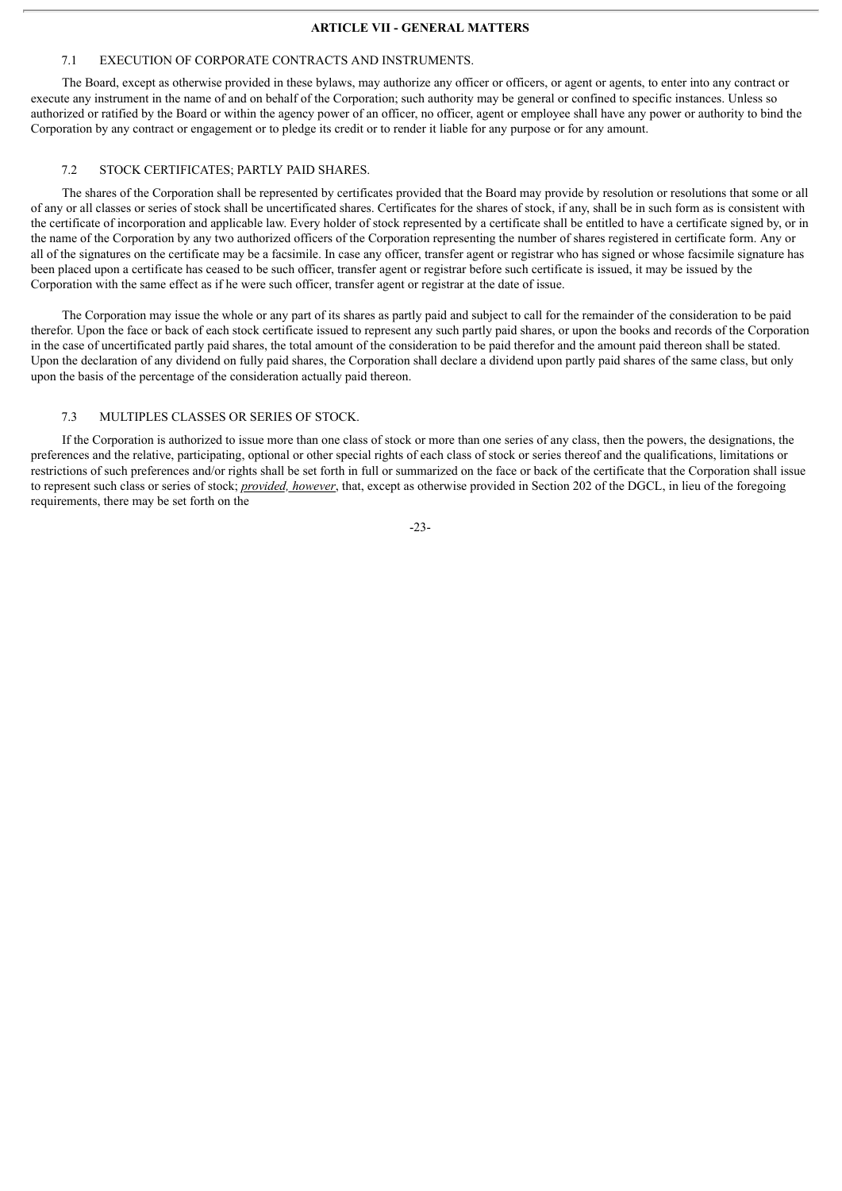#### **ARTICLE VII - GENERAL MATTERS**

#### 7.1 EXECUTION OF CORPORATE CONTRACTS AND INSTRUMENTS.

The Board, except as otherwise provided in these bylaws, may authorize any officer or officers, or agent or agents, to enter into any contract or execute any instrument in the name of and on behalf of the Corporation; such authority may be general or confined to specific instances. Unless so authorized or ratified by the Board or within the agency power of an officer, no officer, agent or employee shall have any power or authority to bind the Corporation by any contract or engagement or to pledge its credit or to render it liable for any purpose or for any amount.

#### 7.2 STOCK CERTIFICATES; PARTLY PAID SHARES.

The shares of the Corporation shall be represented by certificates provided that the Board may provide by resolution or resolutions that some or all of any or all classes or series of stock shall be uncertificated shares. Certificates for the shares of stock, if any, shall be in such form as is consistent with the certificate of incorporation and applicable law. Every holder of stock represented by a certificate shall be entitled to have a certificate signed by, or in the name of the Corporation by any two authorized officers of the Corporation representing the number of shares registered in certificate form. Any or all of the signatures on the certificate may be a facsimile. In case any officer, transfer agent or registrar who has signed or whose facsimile signature has been placed upon a certificate has ceased to be such officer, transfer agent or registrar before such certificate is issued, it may be issued by the Corporation with the same effect as if he were such officer, transfer agent or registrar at the date of issue.

The Corporation may issue the whole or any part of its shares as partly paid and subject to call for the remainder of the consideration to be paid therefor. Upon the face or back of each stock certificate issued to represent any such partly paid shares, or upon the books and records of the Corporation in the case of uncertificated partly paid shares, the total amount of the consideration to be paid therefor and the amount paid thereon shall be stated. Upon the declaration of any dividend on fully paid shares, the Corporation shall declare a dividend upon partly paid shares of the same class, but only upon the basis of the percentage of the consideration actually paid thereon.

#### 7.3 MULTIPLES CLASSES OR SERIES OF STOCK.

If the Corporation is authorized to issue more than one class of stock or more than one series of any class, then the powers, the designations, the preferences and the relative, participating, optional or other special rights of each class of stock or series thereof and the qualifications, limitations or restrictions of such preferences and/or rights shall be set forth in full or summarized on the face or back of the certificate that the Corporation shall issue to represent such class or series of stock; *provided, however*, that, except as otherwise provided in Section 202 of the DGCL, in lieu of the foregoing requirements, there may be set forth on the

-23-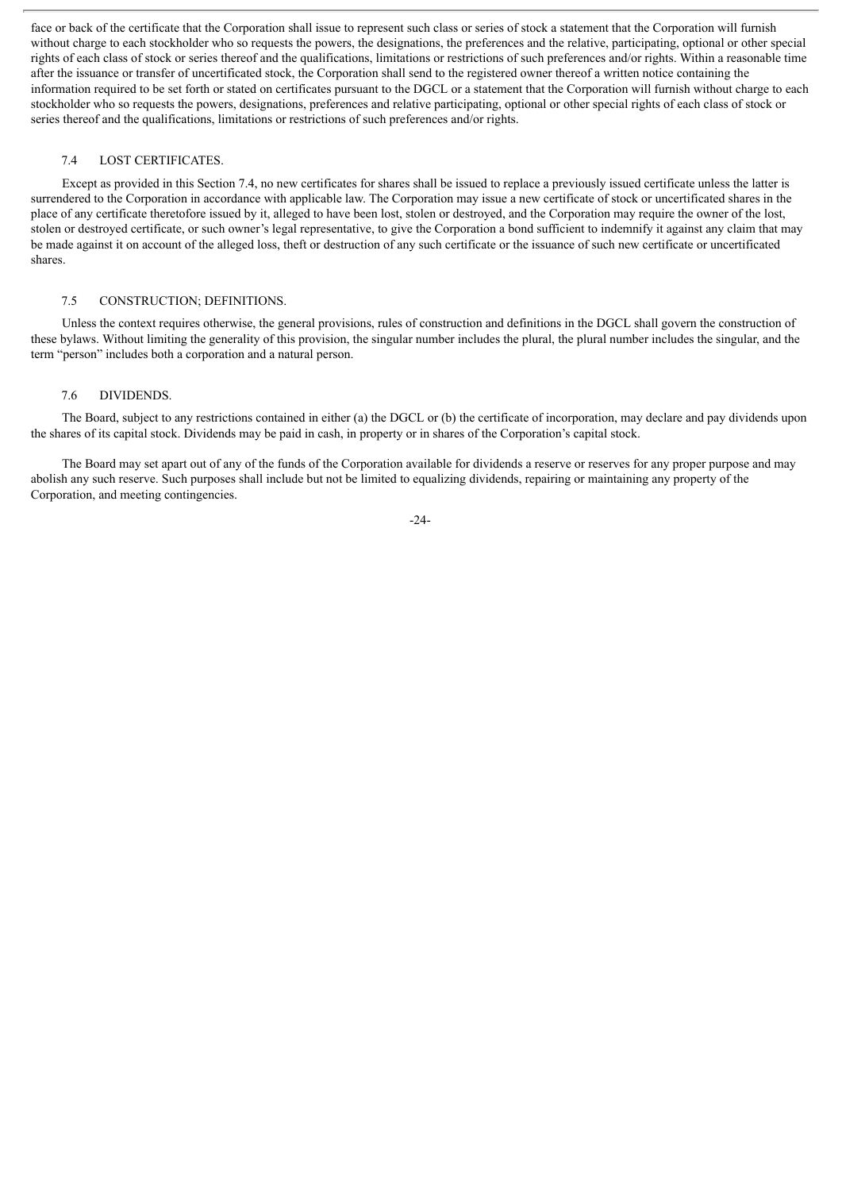face or back of the certificate that the Corporation shall issue to represent such class or series of stock a statement that the Corporation will furnish without charge to each stockholder who so requests the powers, the designations, the preferences and the relative, participating, optional or other special rights of each class of stock or series thereof and the qualifications, limitations or restrictions of such preferences and/or rights. Within a reasonable time after the issuance or transfer of uncertificated stock, the Corporation shall send to the registered owner thereof a written notice containing the information required to be set forth or stated on certificates pursuant to the DGCL or a statement that the Corporation will furnish without charge to each stockholder who so requests the powers, designations, preferences and relative participating, optional or other special rights of each class of stock or series thereof and the qualifications, limitations or restrictions of such preferences and/or rights.

#### 7.4 LOST CERTIFICATES.

Except as provided in this Section 7.4, no new certificates for shares shall be issued to replace a previously issued certificate unless the latter is surrendered to the Corporation in accordance with applicable law. The Corporation may issue a new certificate of stock or uncertificated shares in the place of any certificate theretofore issued by it, alleged to have been lost, stolen or destroyed, and the Corporation may require the owner of the lost, stolen or destroyed certificate, or such owner's legal representative, to give the Corporation a bond sufficient to indemnify it against any claim that may be made against it on account of the alleged loss, theft or destruction of any such certificate or the issuance of such new certificate or uncertificated shares.

#### 7.5 CONSTRUCTION; DEFINITIONS.

Unless the context requires otherwise, the general provisions, rules of construction and definitions in the DGCL shall govern the construction of these bylaws. Without limiting the generality of this provision, the singular number includes the plural, the plural number includes the singular, and the term "person" includes both a corporation and a natural person.

#### 7.6 DIVIDENDS.

The Board, subject to any restrictions contained in either (a) the DGCL or (b) the certificate of incorporation, may declare and pay dividends upon the shares of its capital stock. Dividends may be paid in cash, in property or in shares of the Corporation's capital stock.

The Board may set apart out of any of the funds of the Corporation available for dividends a reserve or reserves for any proper purpose and may abolish any such reserve. Such purposes shall include but not be limited to equalizing dividends, repairing or maintaining any property of the Corporation, and meeting contingencies.

-24-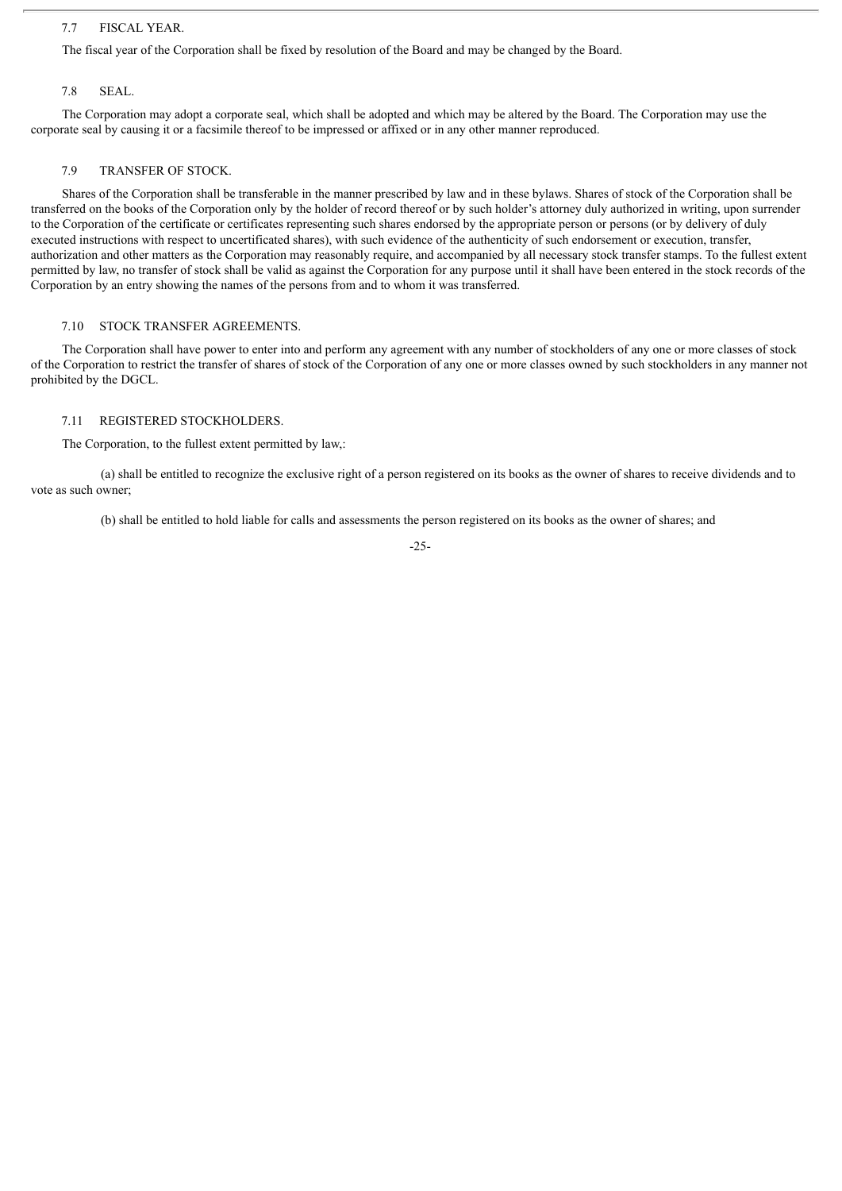# 7.7 FISCAL YEAR.

The fiscal year of the Corporation shall be fixed by resolution of the Board and may be changed by the Board.

#### 7.8 SEAL.

The Corporation may adopt a corporate seal, which shall be adopted and which may be altered by the Board. The Corporation may use the corporate seal by causing it or a facsimile thereof to be impressed or affixed or in any other manner reproduced.

#### 7.9 TRANSFER OF STOCK.

Shares of the Corporation shall be transferable in the manner prescribed by law and in these bylaws. Shares of stock of the Corporation shall be transferred on the books of the Corporation only by the holder of record thereof or by such holder's attorney duly authorized in writing, upon surrender to the Corporation of the certificate or certificates representing such shares endorsed by the appropriate person or persons (or by delivery of duly executed instructions with respect to uncertificated shares), with such evidence of the authenticity of such endorsement or execution, transfer, authorization and other matters as the Corporation may reasonably require, and accompanied by all necessary stock transfer stamps. To the fullest extent permitted by law, no transfer of stock shall be valid as against the Corporation for any purpose until it shall have been entered in the stock records of the Corporation by an entry showing the names of the persons from and to whom it was transferred.

#### 7.10 STOCK TRANSFER AGREEMENTS.

The Corporation shall have power to enter into and perform any agreement with any number of stockholders of any one or more classes of stock of the Corporation to restrict the transfer of shares of stock of the Corporation of any one or more classes owned by such stockholders in any manner not prohibited by the DGCL.

#### 7.11 REGISTERED STOCKHOLDERS.

The Corporation, to the fullest extent permitted by law,:

(a) shall be entitled to recognize the exclusive right of a person registered on its books as the owner of shares to receive dividends and to vote as such owner;

(b) shall be entitled to hold liable for calls and assessments the person registered on its books as the owner of shares; and

-25-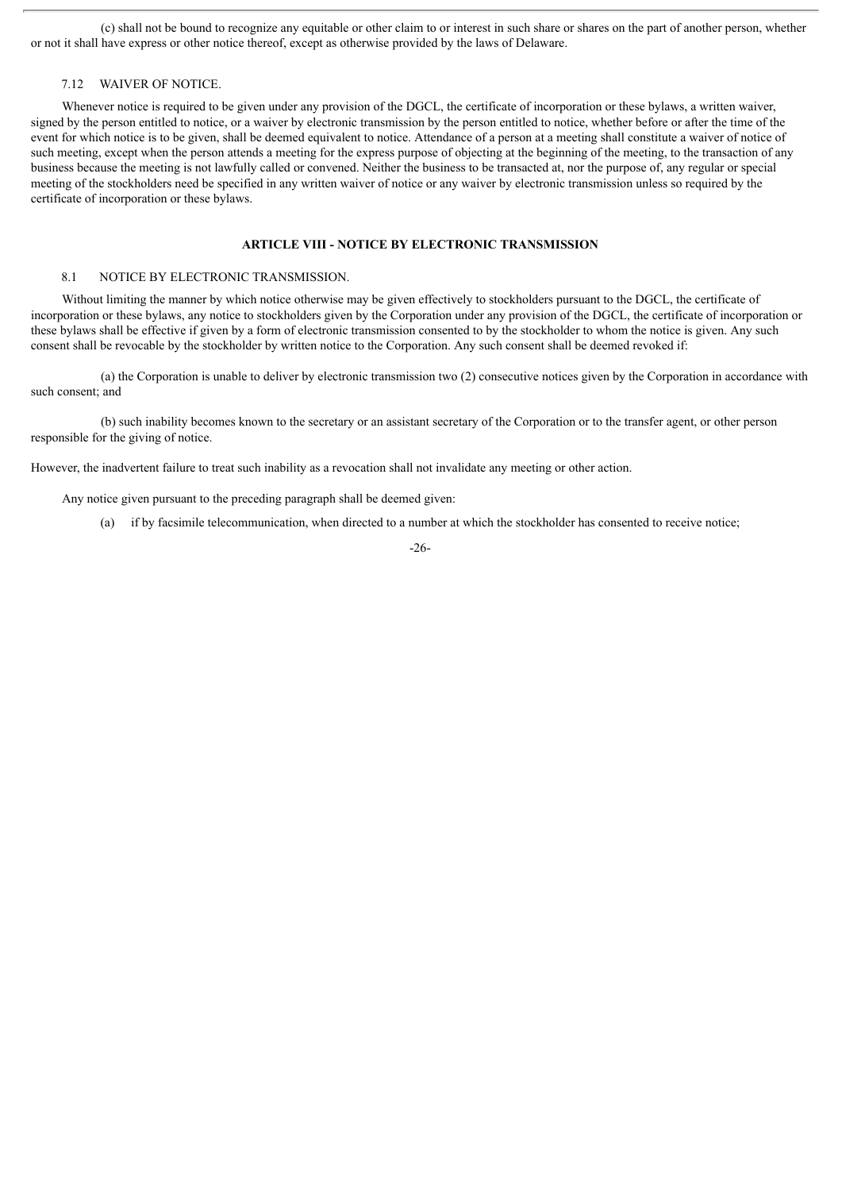(c) shall not be bound to recognize any equitable or other claim to or interest in such share or shares on the part of another person, whether or not it shall have express or other notice thereof, except as otherwise provided by the laws of Delaware.

# 7.12 WAIVER OF NOTICE.

Whenever notice is required to be given under any provision of the DGCL, the certificate of incorporation or these bylaws, a written waiver, signed by the person entitled to notice, or a waiver by electronic transmission by the person entitled to notice, whether before or after the time of the event for which notice is to be given, shall be deemed equivalent to notice. Attendance of a person at a meeting shall constitute a waiver of notice of such meeting, except when the person attends a meeting for the express purpose of objecting at the beginning of the meeting, to the transaction of any business because the meeting is not lawfully called or convened. Neither the business to be transacted at, nor the purpose of, any regular or special meeting of the stockholders need be specified in any written waiver of notice or any waiver by electronic transmission unless so required by the certificate of incorporation or these bylaws.

# **ARTICLE VIII - NOTICE BY ELECTRONIC TRANSMISSION**

#### 8.1 NOTICE BY ELECTRONIC TRANSMISSION.

Without limiting the manner by which notice otherwise may be given effectively to stockholders pursuant to the DGCL, the certificate of incorporation or these bylaws, any notice to stockholders given by the Corporation under any provision of the DGCL, the certificate of incorporation or these bylaws shall be effective if given by a form of electronic transmission consented to by the stockholder to whom the notice is given. Any such consent shall be revocable by the stockholder by written notice to the Corporation. Any such consent shall be deemed revoked if:

(a) the Corporation is unable to deliver by electronic transmission two (2) consecutive notices given by the Corporation in accordance with such consent; and

(b) such inability becomes known to the secretary or an assistant secretary of the Corporation or to the transfer agent, or other person responsible for the giving of notice.

However, the inadvertent failure to treat such inability as a revocation shall not invalidate any meeting or other action.

Any notice given pursuant to the preceding paragraph shall be deemed given:

(a) if by facsimile telecommunication, when directed to a number at which the stockholder has consented to receive notice;

-26-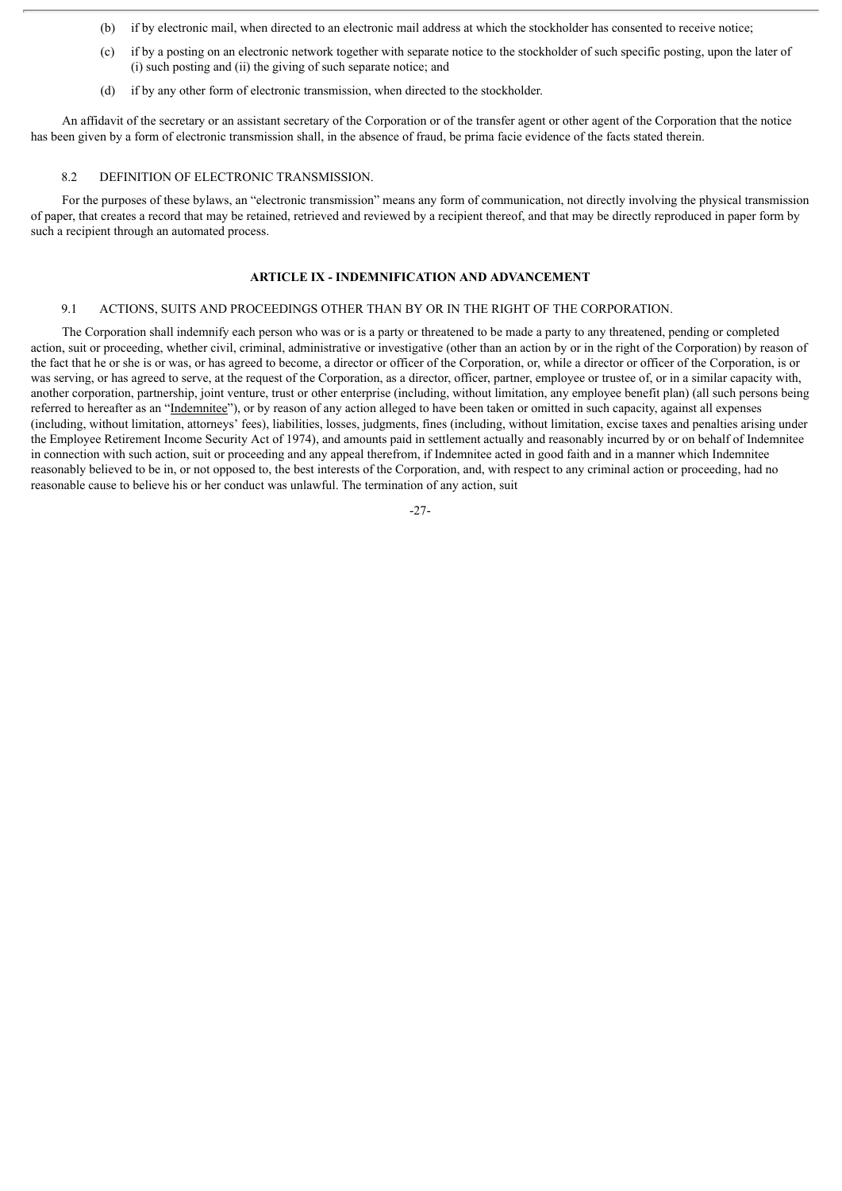- (b) if by electronic mail, when directed to an electronic mail address at which the stockholder has consented to receive notice;
- (c) if by a posting on an electronic network together with separate notice to the stockholder of such specific posting, upon the later of (i) such posting and (ii) the giving of such separate notice; and
- (d) if by any other form of electronic transmission, when directed to the stockholder.

An affidavit of the secretary or an assistant secretary of the Corporation or of the transfer agent or other agent of the Corporation that the notice has been given by a form of electronic transmission shall, in the absence of fraud, be prima facie evidence of the facts stated therein.

# 8.2 DEFINITION OF ELECTRONIC TRANSMISSION.

For the purposes of these bylaws, an "electronic transmission" means any form of communication, not directly involving the physical transmission of paper, that creates a record that may be retained, retrieved and reviewed by a recipient thereof, and that may be directly reproduced in paper form by such a recipient through an automated process.

#### **ARTICLE IX - INDEMNIFICATION AND ADVANCEMENT**

#### 9.1 ACTIONS, SUITS AND PROCEEDINGS OTHER THAN BY OR IN THE RIGHT OF THE CORPORATION.

The Corporation shall indemnify each person who was or is a party or threatened to be made a party to any threatened, pending or completed action, suit or proceeding, whether civil, criminal, administrative or investigative (other than an action by or in the right of the Corporation) by reason of the fact that he or she is or was, or has agreed to become, a director or officer of the Corporation, or, while a director or officer of the Corporation, is or was serving, or has agreed to serve, at the request of the Corporation, as a director, officer, partner, employee or trustee of, or in a similar capacity with, another corporation, partnership, joint venture, trust or other enterprise (including, without limitation, any employee benefit plan) (all such persons being referred to hereafter as an "Indemnitee"), or by reason of any action alleged to have been taken or omitted in such capacity, against all expenses (including, without limitation, attorneys' fees), liabilities, losses, judgments, fines (including, without limitation, excise taxes and penalties arising under the Employee Retirement Income Security Act of 1974), and amounts paid in settlement actually and reasonably incurred by or on behalf of Indemnitee in connection with such action, suit or proceeding and any appeal therefrom, if Indemnitee acted in good faith and in a manner which Indemnitee reasonably believed to be in, or not opposed to, the best interests of the Corporation, and, with respect to any criminal action or proceeding, had no reasonable cause to believe his or her conduct was unlawful. The termination of any action, suit

-27-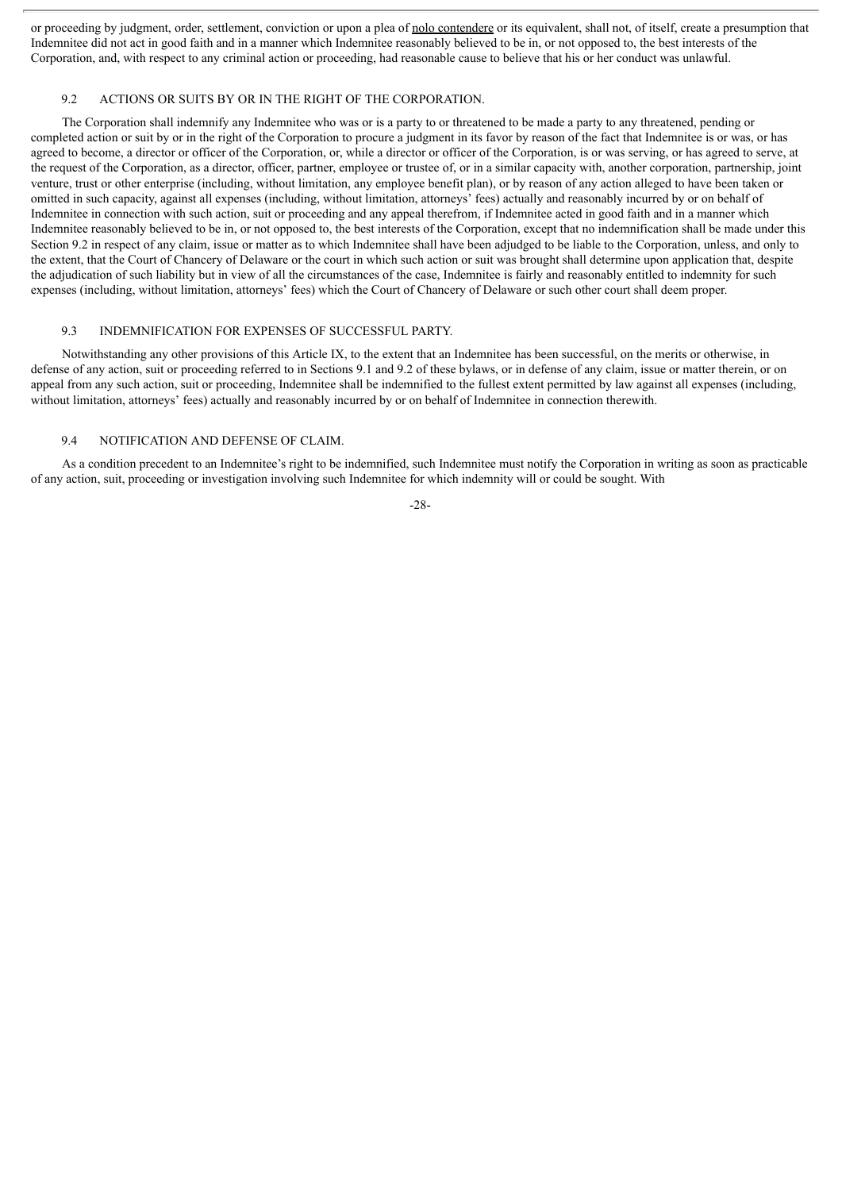or proceeding by judgment, order, settlement, conviction or upon a plea of nolo contendere or its equivalent, shall not, of itself, create a presumption that Indemnitee did not act in good faith and in a manner which Indemnitee reasonably believed to be in, or not opposed to, the best interests of the Corporation, and, with respect to any criminal action or proceeding, had reasonable cause to believe that his or her conduct was unlawful.

#### 9.2 ACTIONS OR SUITS BY OR IN THE RIGHT OF THE CORPORATION.

The Corporation shall indemnify any Indemnitee who was or is a party to or threatened to be made a party to any threatened, pending or completed action or suit by or in the right of the Corporation to procure a judgment in its favor by reason of the fact that Indemnitee is or was, or has agreed to become, a director or officer of the Corporation, or, while a director or officer of the Corporation, is or was serving, or has agreed to serve, at the request of the Corporation, as a director, officer, partner, employee or trustee of, or in a similar capacity with, another corporation, partnership, joint venture, trust or other enterprise (including, without limitation, any employee benefit plan), or by reason of any action alleged to have been taken or omitted in such capacity, against all expenses (including, without limitation, attorneys' fees) actually and reasonably incurred by or on behalf of Indemnitee in connection with such action, suit or proceeding and any appeal therefrom, if Indemnitee acted in good faith and in a manner which Indemnitee reasonably believed to be in, or not opposed to, the best interests of the Corporation, except that no indemnification shall be made under this Section 9.2 in respect of any claim, issue or matter as to which Indemnitee shall have been adjudged to be liable to the Corporation, unless, and only to the extent, that the Court of Chancery of Delaware or the court in which such action or suit was brought shall determine upon application that, despite the adjudication of such liability but in view of all the circumstances of the case, Indemnitee is fairly and reasonably entitled to indemnity for such expenses (including, without limitation, attorneys' fees) which the Court of Chancery of Delaware or such other court shall deem proper.

#### 9.3 INDEMNIFICATION FOR EXPENSES OF SUCCESSFUL PARTY.

Notwithstanding any other provisions of this Article IX, to the extent that an Indemnitee has been successful, on the merits or otherwise, in defense of any action, suit or proceeding referred to in Sections 9.1 and 9.2 of these bylaws, or in defense of any claim, issue or matter therein, or on appeal from any such action, suit or proceeding, Indemnitee shall be indemnified to the fullest extent permitted by law against all expenses (including, without limitation, attorneys' fees) actually and reasonably incurred by or on behalf of Indemnitee in connection therewith.

#### 9.4 NOTIFICATION AND DEFENSE OF CLAIM.

As a condition precedent to an Indemnitee's right to be indemnified, such Indemnitee must notify the Corporation in writing as soon as practicable of any action, suit, proceeding or investigation involving such Indemnitee for which indemnity will or could be sought. With

-28-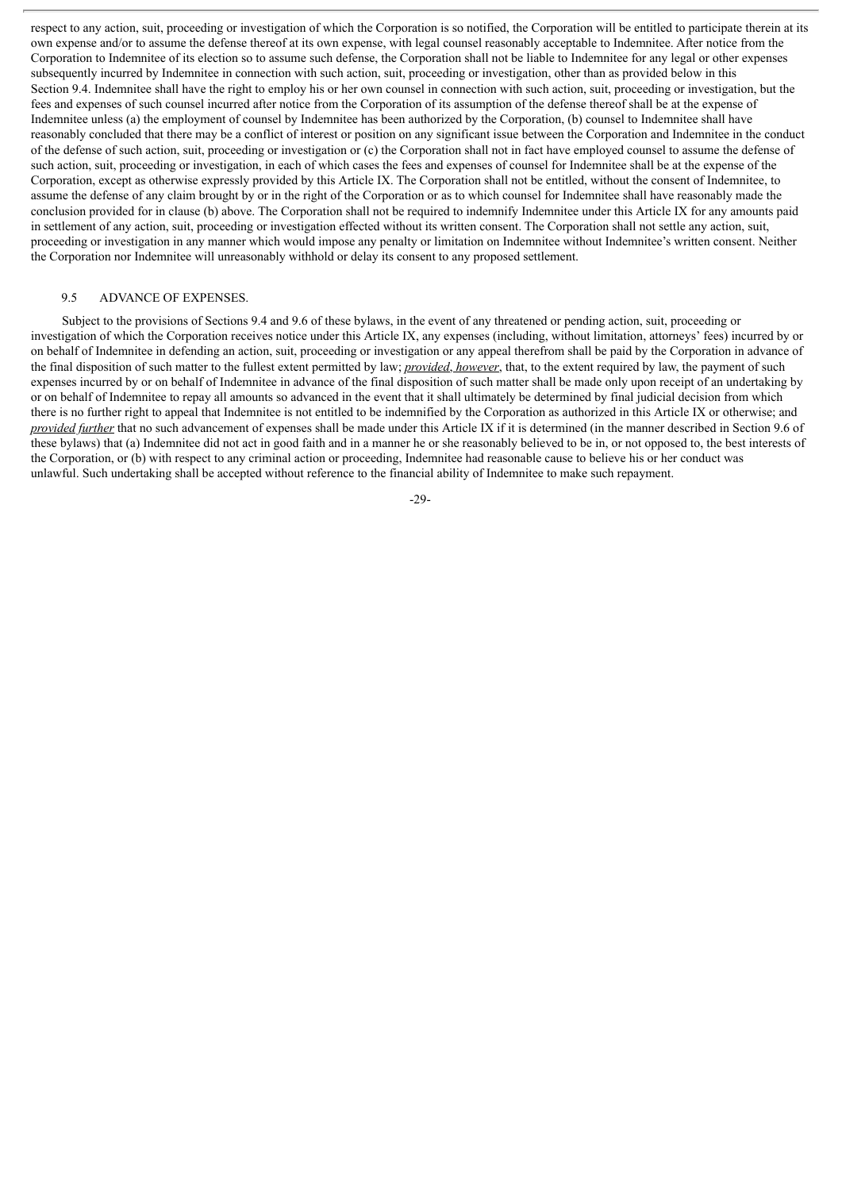respect to any action, suit, proceeding or investigation of which the Corporation is so notified, the Corporation will be entitled to participate therein at its own expense and/or to assume the defense thereof at its own expense, with legal counsel reasonably acceptable to Indemnitee. After notice from the Corporation to Indemnitee of its election so to assume such defense, the Corporation shall not be liable to Indemnitee for any legal or other expenses subsequently incurred by Indemnitee in connection with such action, suit, proceeding or investigation, other than as provided below in this Section 9.4. Indemnitee shall have the right to employ his or her own counsel in connection with such action, suit, proceeding or investigation, but the fees and expenses of such counsel incurred after notice from the Corporation of its assumption of the defense thereof shall be at the expense of Indemnitee unless (a) the employment of counsel by Indemnitee has been authorized by the Corporation, (b) counsel to Indemnitee shall have reasonably concluded that there may be a conflict of interest or position on any significant issue between the Corporation and Indemnitee in the conduct of the defense of such action, suit, proceeding or investigation or (c) the Corporation shall not in fact have employed counsel to assume the defense of such action, suit, proceeding or investigation, in each of which cases the fees and expenses of counsel for Indemnitee shall be at the expense of the Corporation, except as otherwise expressly provided by this Article IX. The Corporation shall not be entitled, without the consent of Indemnitee, to assume the defense of any claim brought by or in the right of the Corporation or as to which counsel for Indemnitee shall have reasonably made the conclusion provided for in clause (b) above. The Corporation shall not be required to indemnify Indemnitee under this Article IX for any amounts paid in settlement of any action, suit, proceeding or investigation effected without its written consent. The Corporation shall not settle any action, suit, proceeding or investigation in any manner which would impose any penalty or limitation on Indemnitee without Indemnitee's written consent. Neither the Corporation nor Indemnitee will unreasonably withhold or delay its consent to any proposed settlement.

#### 9.5 ADVANCE OF EXPENSES.

Subject to the provisions of Sections 9.4 and 9.6 of these bylaws, in the event of any threatened or pending action, suit, proceeding or investigation of which the Corporation receives notice under this Article IX, any expenses (including, without limitation, attorneys' fees) incurred by or on behalf of Indemnitee in defending an action, suit, proceeding or investigation or any appeal therefrom shall be paid by the Corporation in advance of the final disposition of such matter to the fullest extent permitted by law; *provided*, *however*, that, to the extent required by law, the payment of such expenses incurred by or on behalf of Indemnitee in advance of the final disposition of such matter shall be made only upon receipt of an undertaking by or on behalf of Indemnitee to repay all amounts so advanced in the event that it shall ultimately be determined by final judicial decision from which there is no further right to appeal that Indemnitee is not entitled to be indemnified by the Corporation as authorized in this Article IX or otherwise; and *provided further* that no such advancement of expenses shall be made under this Article IX if it is determined (in the manner described in Section 9.6 of these bylaws) that (a) Indemnitee did not act in good faith and in a manner he or she reasonably believed to be in, or not opposed to, the best interests of the Corporation, or (b) with respect to any criminal action or proceeding, Indemnitee had reasonable cause to believe his or her conduct was unlawful. Such undertaking shall be accepted without reference to the financial ability of Indemnitee to make such repayment.

-29-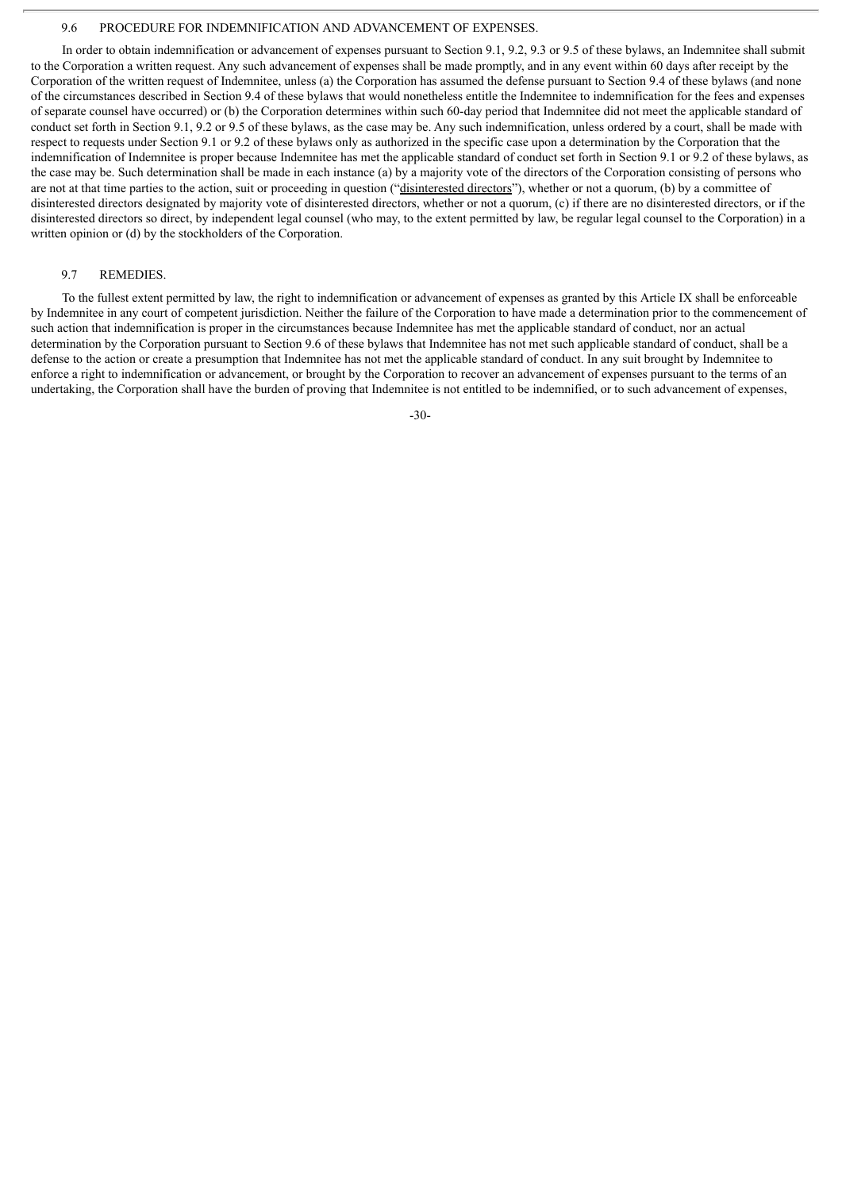#### 9.6 PROCEDURE FOR INDEMNIFICATION AND ADVANCEMENT OF EXPENSES.

In order to obtain indemnification or advancement of expenses pursuant to Section 9.1, 9.2, 9.3 or 9.5 of these bylaws, an Indemnitee shall submit to the Corporation a written request. Any such advancement of expenses shall be made promptly, and in any event within 60 days after receipt by the Corporation of the written request of Indemnitee, unless (a) the Corporation has assumed the defense pursuant to Section 9.4 of these bylaws (and none of the circumstances described in Section 9.4 of these bylaws that would nonetheless entitle the Indemnitee to indemnification for the fees and expenses of separate counsel have occurred) or (b) the Corporation determines within such 60-day period that Indemnitee did not meet the applicable standard of conduct set forth in Section 9.1, 9.2 or 9.5 of these bylaws, as the case may be. Any such indemnification, unless ordered by a court, shall be made with respect to requests under Section 9.1 or 9.2 of these bylaws only as authorized in the specific case upon a determination by the Corporation that the indemnification of Indemnitee is proper because Indemnitee has met the applicable standard of conduct set forth in Section 9.1 or 9.2 of these bylaws, as the case may be. Such determination shall be made in each instance (a) by a majority vote of the directors of the Corporation consisting of persons who are not at that time parties to the action, suit or proceeding in question ("disinterested directors"), whether or not a quorum, (b) by a committee of disinterested directors designated by majority vote of disinterested directors, whether or not a quorum, (c) if there are no disinterested directors, or if the disinterested directors so direct, by independent legal counsel (who may, to the extent permitted by law, be regular legal counsel to the Corporation) in a written opinion or (d) by the stockholders of the Corporation.

# 9.7 REMEDIES.

To the fullest extent permitted by law, the right to indemnification or advancement of expenses as granted by this Article IX shall be enforceable by Indemnitee in any court of competent jurisdiction. Neither the failure of the Corporation to have made a determination prior to the commencement of such action that indemnification is proper in the circumstances because Indemnitee has met the applicable standard of conduct, nor an actual determination by the Corporation pursuant to Section 9.6 of these bylaws that Indemnitee has not met such applicable standard of conduct, shall be a defense to the action or create a presumption that Indemnitee has not met the applicable standard of conduct. In any suit brought by Indemnitee to enforce a right to indemnification or advancement, or brought by the Corporation to recover an advancement of expenses pursuant to the terms of an undertaking, the Corporation shall have the burden of proving that Indemnitee is not entitled to be indemnified, or to such advancement of expenses,

-30-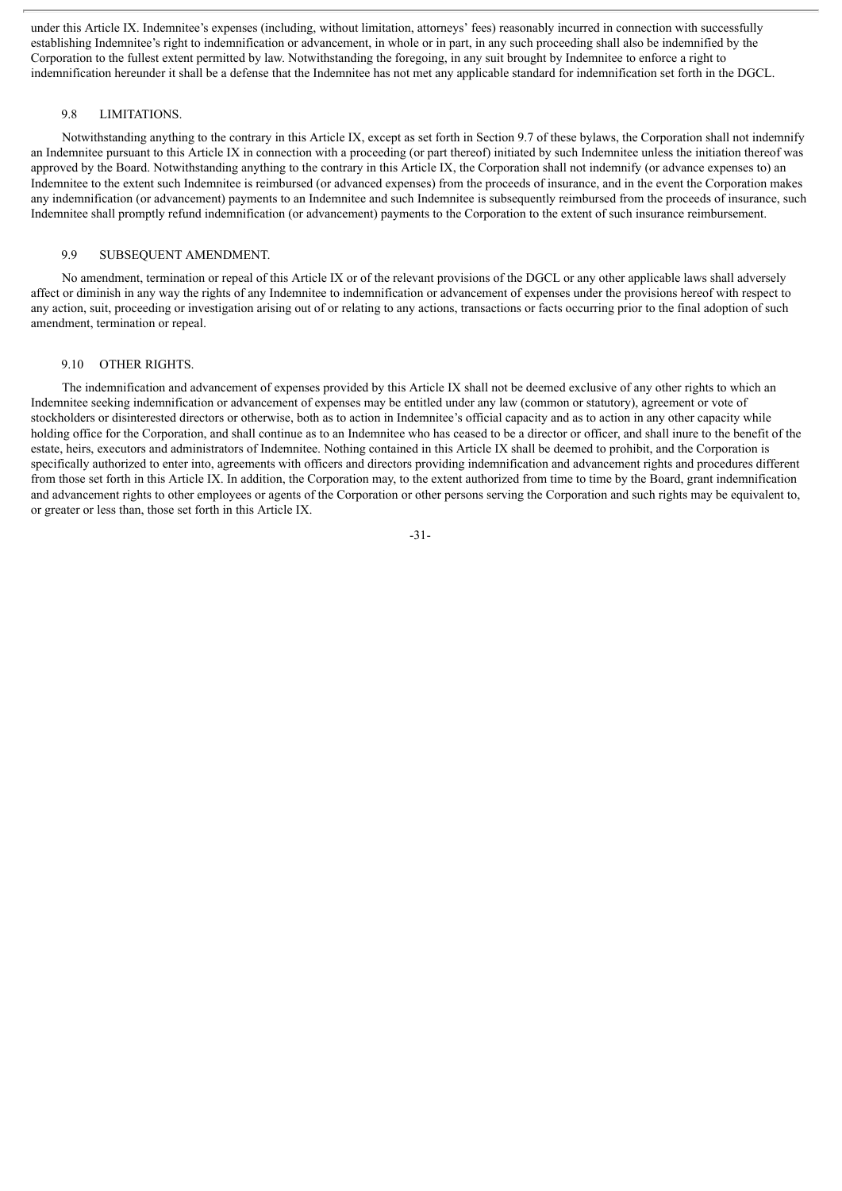under this Article IX. Indemnitee's expenses (including, without limitation, attorneys' fees) reasonably incurred in connection with successfully establishing Indemnitee's right to indemnification or advancement, in whole or in part, in any such proceeding shall also be indemnified by the Corporation to the fullest extent permitted by law. Notwithstanding the foregoing, in any suit brought by Indemnitee to enforce a right to indemnification hereunder it shall be a defense that the Indemnitee has not met any applicable standard for indemnification set forth in the DGCL.

#### 9.8 LIMITATIONS.

Notwithstanding anything to the contrary in this Article IX, except as set forth in Section 9.7 of these bylaws, the Corporation shall not indemnify an Indemnitee pursuant to this Article IX in connection with a proceeding (or part thereof) initiated by such Indemnitee unless the initiation thereof was approved by the Board. Notwithstanding anything to the contrary in this Article IX, the Corporation shall not indemnify (or advance expenses to) an Indemnitee to the extent such Indemnitee is reimbursed (or advanced expenses) from the proceeds of insurance, and in the event the Corporation makes any indemnification (or advancement) payments to an Indemnitee and such Indemnitee is subsequently reimbursed from the proceeds of insurance, such Indemnitee shall promptly refund indemnification (or advancement) payments to the Corporation to the extent of such insurance reimbursement.

# 9.9 SUBSEQUENT AMENDMENT.

No amendment, termination or repeal of this Article IX or of the relevant provisions of the DGCL or any other applicable laws shall adversely affect or diminish in any way the rights of any Indemnitee to indemnification or advancement of expenses under the provisions hereof with respect to any action, suit, proceeding or investigation arising out of or relating to any actions, transactions or facts occurring prior to the final adoption of such amendment, termination or repeal.

#### 9.10 OTHER RIGHTS.

The indemnification and advancement of expenses provided by this Article IX shall not be deemed exclusive of any other rights to which an Indemnitee seeking indemnification or advancement of expenses may be entitled under any law (common or statutory), agreement or vote of stockholders or disinterested directors or otherwise, both as to action in Indemnitee's official capacity and as to action in any other capacity while holding office for the Corporation, and shall continue as to an Indemnitee who has ceased to be a director or officer, and shall inure to the benefit of the estate, heirs, executors and administrators of Indemnitee. Nothing contained in this Article IX shall be deemed to prohibit, and the Corporation is specifically authorized to enter into, agreements with officers and directors providing indemnification and advancement rights and procedures different from those set forth in this Article IX. In addition, the Corporation may, to the extent authorized from time to time by the Board, grant indemnification and advancement rights to other employees or agents of the Corporation or other persons serving the Corporation and such rights may be equivalent to, or greater or less than, those set forth in this Article IX.

-31-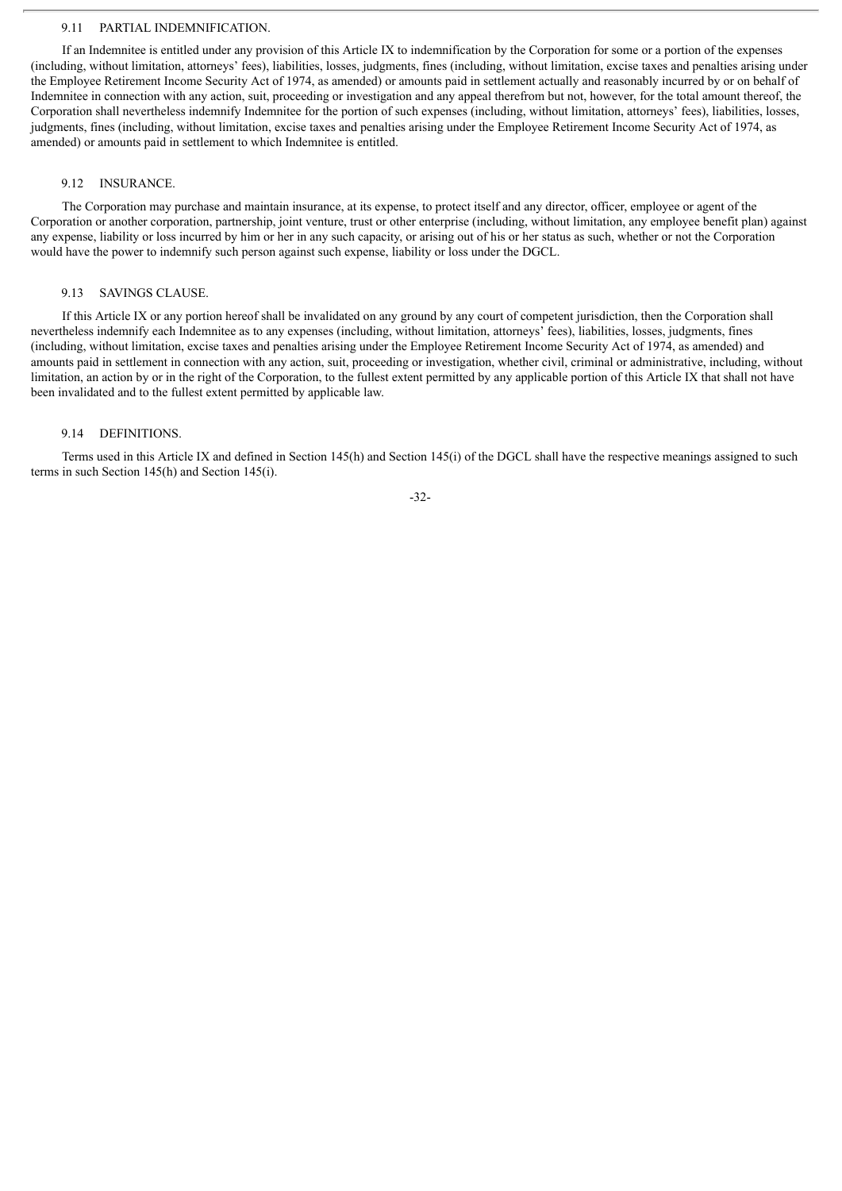#### 9.11 PARTIAL INDEMNIFICATION.

If an Indemnitee is entitled under any provision of this Article IX to indemnification by the Corporation for some or a portion of the expenses (including, without limitation, attorneys' fees), liabilities, losses, judgments, fines (including, without limitation, excise taxes and penalties arising under the Employee Retirement Income Security Act of 1974, as amended) or amounts paid in settlement actually and reasonably incurred by or on behalf of Indemnitee in connection with any action, suit, proceeding or investigation and any appeal therefrom but not, however, for the total amount thereof, the Corporation shall nevertheless indemnify Indemnitee for the portion of such expenses (including, without limitation, attorneys' fees), liabilities, losses, judgments, fines (including, without limitation, excise taxes and penalties arising under the Employee Retirement Income Security Act of 1974, as amended) or amounts paid in settlement to which Indemnitee is entitled.

#### 9.12 INSURANCE.

The Corporation may purchase and maintain insurance, at its expense, to protect itself and any director, officer, employee or agent of the Corporation or another corporation, partnership, joint venture, trust or other enterprise (including, without limitation, any employee benefit plan) against any expense, liability or loss incurred by him or her in any such capacity, or arising out of his or her status as such, whether or not the Corporation would have the power to indemnify such person against such expense, liability or loss under the DGCL.

#### 9.13 SAVINGS CLAUSE.

If this Article IX or any portion hereof shall be invalidated on any ground by any court of competent jurisdiction, then the Corporation shall nevertheless indemnify each Indemnitee as to any expenses (including, without limitation, attorneys' fees), liabilities, losses, judgments, fines (including, without limitation, excise taxes and penalties arising under the Employee Retirement Income Security Act of 1974, as amended) and amounts paid in settlement in connection with any action, suit, proceeding or investigation, whether civil, criminal or administrative, including, without limitation, an action by or in the right of the Corporation, to the fullest extent permitted by any applicable portion of this Article IX that shall not have been invalidated and to the fullest extent permitted by applicable law.

#### 9.14 DEFINITIONS.

Terms used in this Article IX and defined in Section 145(h) and Section 145(i) of the DGCL shall have the respective meanings assigned to such terms in such Section 145(h) and Section 145(i).

-32-